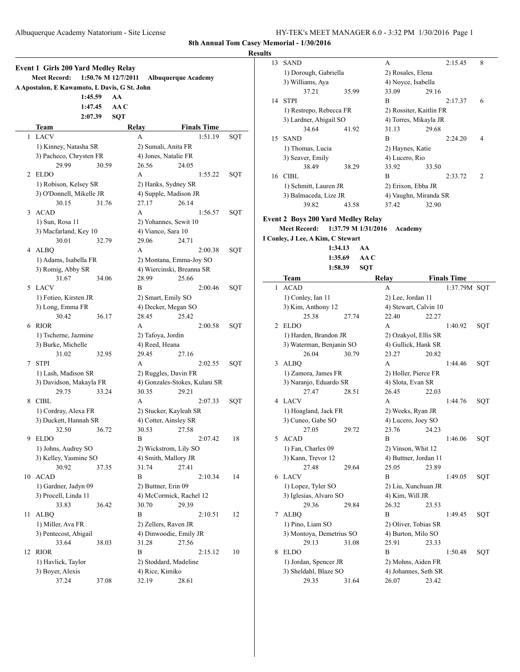**Results**

ш.

|    | <b>Event 1 Girls 200 Yard Medley Relay</b><br><b>Meet Record:</b><br>A Apostalon, E Kawamoto, L Davis, G St. John | 1:45.59 | 1:50.76 M 12/7/2011<br>AA |                      | <b>Albuquerque Academy</b>    |                    |     |
|----|-------------------------------------------------------------------------------------------------------------------|---------|---------------------------|----------------------|-------------------------------|--------------------|-----|
|    |                                                                                                                   | 1:47.45 | AA C                      |                      |                               |                    |     |
|    |                                                                                                                   | 2:07.39 | <b>SQT</b>                |                      |                               |                    |     |
|    | Team                                                                                                              |         |                           | Relay                |                               | <b>Finals Time</b> |     |
| 1  | <b>LACV</b>                                                                                                       |         |                           | А                    |                               | 1:51.19            | SQT |
|    | 1) Kinney, Natasha SR                                                                                             |         |                           | 2) Sumali, Anita FR  |                               |                    |     |
|    | 3) Pacheco, Chrysten FR                                                                                           |         |                           | 4) Jones, Natalie FR |                               |                    |     |
|    | 29.99                                                                                                             | 30.59   |                           | 26.56                | 24.05                         |                    |     |
| 2  | <b>ELDO</b>                                                                                                       |         |                           | А                    |                               | 1:55.22            | SQT |
|    | 1) Robison, Kelsey SR                                                                                             |         |                           |                      | 2) Hanks, Sydney SR           |                    |     |
|    | 3) O'Donnell, Mikelle JR                                                                                          |         |                           |                      | 4) Supple, Madison JR         |                    |     |
|    | 30.15                                                                                                             | 31.76   |                           | 27.17                | 26.14                         |                    |     |
| 3  | <b>ACAD</b>                                                                                                       |         |                           | A                    |                               | 1:56.57            | SQT |
|    | 1) Sun, Rosa 11                                                                                                   |         |                           |                      | 2) Yohannes, Sewit 10         |                    |     |
|    | 3) Macfarland, Key 10                                                                                             |         |                           | 4) Vianco, Sara 10   |                               |                    |     |
|    | 30.01                                                                                                             | 32.79   |                           | 29.06                | 24.71                         |                    |     |
|    | 4 ALBO                                                                                                            |         |                           | A                    |                               | 2:00.38            | SQT |
|    | 1) Adams, Isabella FR                                                                                             |         |                           |                      | 2) Montana, Emma-Joy SO       |                    |     |
|    | 3) Romig, Abby SR                                                                                                 |         |                           |                      | 4) Wiercinski, Breanna SR     |                    |     |
|    | 31.67                                                                                                             | 34.06   |                           | 28.99                | 25.66                         |                    |     |
| 5  | <b>LACV</b>                                                                                                       |         |                           | B                    |                               | 2:00.46            | SQT |
|    | 1) Fotieo, Kirsten JR                                                                                             |         |                           | 2) Smart, Emily SO   |                               |                    |     |
|    | 3) Long, Emma FR                                                                                                  |         |                           |                      | 4) Decker, Megan SO           |                    |     |
|    | 30.42                                                                                                             | 36.17   |                           | 28.45                | 25.42                         |                    |     |
| 6  | RIOR                                                                                                              |         |                           | A                    |                               | 2:00.58            | SQT |
|    | 1) Tscherne, Jazmine                                                                                              |         |                           | 2) Tafoya, Jordin    |                               |                    |     |
|    | 3) Burke, Michelle                                                                                                |         |                           | 4) Reed, Heana       |                               |                    |     |
|    | 31.02                                                                                                             | 32.95   |                           | 29.45                | 27.16                         |                    |     |
| 7  | <b>STPI</b>                                                                                                       |         |                           | А                    |                               | 2:02.55            | SQT |
|    | 1) Lash, Madison SR                                                                                               |         |                           |                      | 2) Ruggles, Davin FR          |                    |     |
|    | 3) Davidson, Makayla FR                                                                                           |         |                           |                      | 4) Gonzales-Stokes, Kulani SR |                    |     |
|    | 29.75                                                                                                             | 33.24   |                           | 30.35                | 29.21                         |                    |     |
| 8  | <b>CIBL</b>                                                                                                       |         |                           | A                    |                               | 2:07.33            | SQT |
|    | 1) Cordray, Alexa FR                                                                                              |         |                           |                      | 2) Stucker, Kayleah SR        |                    |     |
|    | 3) Duckett, Hannah SR                                                                                             |         |                           |                      | 4) Cotter, Ainsley SR         |                    |     |
|    | 32.50                                                                                                             | 36.72   |                           | 30.53                | 27.58                         |                    |     |
| 9  | <b>ELDO</b>                                                                                                       |         |                           | B                    |                               | 2:07.42            | 18  |
|    | 1) Johns, Audrey SO                                                                                               |         |                           |                      | 2) Wickstrom, Lily SO         |                    |     |
|    | 3) Kelley, Yasmine SO                                                                                             |         |                           | 4) Smith, Mallory JR |                               |                    |     |
|    | 30.92                                                                                                             | 37.35   |                           | 31.74                | 27.41                         |                    |     |
| 10 | <b>ACAD</b>                                                                                                       |         |                           | В                    |                               | 2:10.34            | 14  |
|    | 1) Gardner, Jadyn 09                                                                                              |         |                           | 2) Buttner, Erin 09  |                               |                    |     |
|    | 3) Procell, Linda 11                                                                                              |         |                           |                      | 4) McCormick, Rachel 12       |                    |     |
|    | 33.83                                                                                                             | 36.42   |                           | 30.70                | 29.39                         |                    |     |
| 11 | <b>ALBQ</b>                                                                                                       |         |                           | $\, {\bf B}$         |                               | 2:10.51            | 12  |
|    | 1) Miller, Ava FR                                                                                                 |         |                           | 2) Zellers, Raven JR |                               |                    |     |
|    | 3) Pentecost, Abigail                                                                                             |         |                           |                      | 4) Dinwoodie, Emily JR        |                    |     |
|    | 33.64                                                                                                             | 38.03   |                           | 31.28                | 27.56                         |                    |     |
| 12 | <b>RIOR</b>                                                                                                       |         |                           | B                    |                               | 2:15.12            | 10  |
|    | 1) Havlick, Taylor                                                                                                |         |                           |                      | 2) Stoddard, Madeline         |                    |     |
|    | 3) Boyer, Alexis                                                                                                  |         |                           | 4) Rice, Kimiko      |                               |                    |     |
|    | 37.24                                                                                                             | 37.08   |                           | 32.19                | 28.61                         |                    |     |

| 13 | <b>SAND</b>             |              | A                       | 2:15.45               | 8              |  |  |
|----|-------------------------|--------------|-------------------------|-----------------------|----------------|--|--|
|    | 1) Dorough, Gabriella   |              | 2) Rosales, Elena       |                       |                |  |  |
|    | 3) Williams, Aya        |              | 4) Noyce, Isabella      |                       |                |  |  |
|    | 37.21                   | 35.99        | 33.09                   | 29.16                 |                |  |  |
| 14 | <b>STPI</b>             |              | B                       | 2:17.37               | 6              |  |  |
|    | 1) Restrepo, Rebecca FR |              | 2) Rossiter, Kaitlin FR |                       |                |  |  |
|    | 3) Lardner, Abigail SO  |              | 4) Torres, Mikayla JR   |                       |                |  |  |
|    | 34.64                   | 41.92        | 31.13                   | 29.68                 |                |  |  |
| 15 | <b>SAND</b>             |              | B                       | 2:24.20               | 4              |  |  |
|    | 1) Thomas, Lucia        |              | 2) Haynes, Katie        |                       |                |  |  |
|    | 3) Seaver, Emily        |              | 4) Lucero, Rio          |                       |                |  |  |
|    | 38.49                   | 38.29        | 33.92                   | 33.50                 |                |  |  |
| 16 | CIBL                    |              | B                       | 2:33.72               | $\mathfrak{D}$ |  |  |
|    | 1) Schmitt, Lauren JR   |              | 2) Erixon, Ebba JR      |                       |                |  |  |
|    | 3) Balmaceda, Lize JR   |              |                         | 4) Vaughn, Miranda SR |                |  |  |
|    | 39.82                   | 43.58        | 37.42                   | 32.90                 |                |  |  |
|    | $A \cap B$<br>n         | $\mathbf{r}$ |                         |                       |                |  |  |

## **Event 2 Boys 200 Yard Medley Relay**

**Meet Record: 1:37.79 M 1/31/2016 Academy**

**I Conley, J Lee, A Kim, C Stewart**

| 1:34.13 | AА   |
|---------|------|
| 1:35.69 | AA C |
|         |      |

|   | 1:58.39                  | SQT   |                       |       |                    |     |
|---|--------------------------|-------|-----------------------|-------|--------------------|-----|
|   | Team                     |       | Relay                 |       | <b>Finals Time</b> |     |
| 1 | <b>ACAD</b>              |       | A                     |       | 1:37.79M SQT       |     |
|   | 1) Conley, Ian 11        |       | 2) Lee, Jordan 11     |       |                    |     |
|   | 3) Kim, Anthony 12       |       | 4) Stewart, Calvin 10 |       |                    |     |
|   | 25.38                    | 27.74 | 22.40                 | 22.27 |                    |     |
| 2 | ELDO                     |       | A                     |       | 1:40.92            | SQT |
|   | 1) Harden, Brandon JR    |       | 2) Ozakyol, Ellis SR  |       |                    |     |
|   | 3) Waterman, Benjanin SO |       | 4) Gullick, Hank SR   |       |                    |     |
|   | 26.04                    | 30.79 | 23.27                 | 20.82 |                    |     |
| 3 | <b>ALBO</b>              |       | А                     |       | 1:44.46            | SQT |
|   | 1) Zamora, James FR      |       | 2) Holler, Pierce FR  |       |                    |     |
|   | 3) Naranjo, Eduardo SR   |       | 4) Slota, Evan SR     |       |                    |     |
|   | 27.47                    | 28.51 | 26.45                 | 22.03 |                    |     |
| 4 | <b>LACV</b>              |       | А                     |       | 1:44.76            | SQT |
|   | 1) Hoagland, Jack FR     |       | 2) Weeks, Ryan JR     |       |                    |     |
|   | 3) Cuneo, Gabe SO        |       | 4) Lucero, Joey SO    |       |                    |     |
|   | 27.05                    | 29.72 | 23.76                 | 24.23 |                    |     |
| 5 | <b>ACAD</b>              |       | B                     |       | 1:46.06            | SQT |
|   | 1) Fan, Charles 09       |       | 2) Vinson, Whit 12    |       |                    |     |
|   | 3) Kann, Trevor 12       |       | 4) Buttner, Jordan 11 |       |                    |     |
|   | 27.48                    | 29.64 | 25.05                 | 23.89 |                    |     |
| 6 | <b>LACV</b>              |       | B                     |       | 1:49.05            | SQT |
|   | 1) Lopez, Tyler SO       |       | 2) Liu, Xunchuan JR   |       |                    |     |
|   | 3) Iglesias, Alvaro SO   |       | 4) Kim, Will JR       |       |                    |     |
|   | 29.36                    | 29.84 | 26.32                 | 23.53 |                    |     |
| 7 | <b>ALBQ</b>              |       | B                     |       | 1:49.45            | SQT |
|   | 1) Pino, Liam SO         |       | 2) Oliver, Tobias SR  |       |                    |     |
|   | 3) Montoya, Demetrius SO |       | 4) Burton, Milo SO    |       |                    |     |
|   | 29.13                    | 31.08 | 25.91                 | 23.33 |                    |     |
| 8 | <b>ELDO</b>              |       | B                     |       | 1:50.48            | SQT |
|   | 1) Jordan, Spencer JR    |       | 2) Mohns, Aiden FR    |       |                    |     |
|   | 3) Sheldahl, Blaze SO    |       | 4) Johannes, Seth SR  |       |                    |     |
|   | 29.35                    | 31.64 | 26.07                 | 23.42 |                    |     |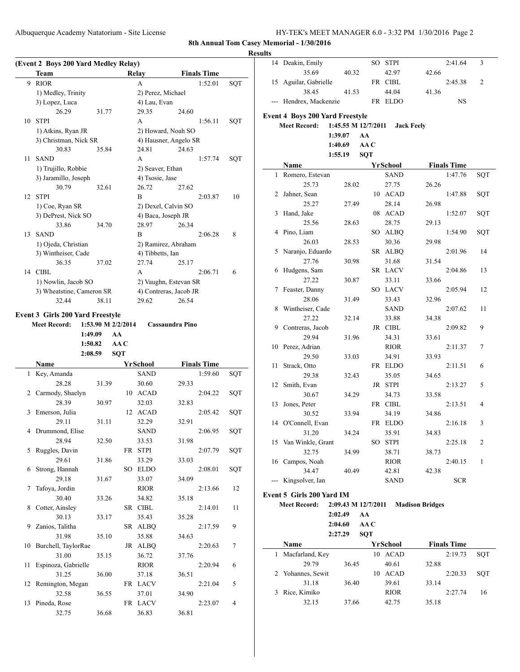Albuquerque Academy Natatorium - Site License HY-TEK's MEET MANAGER 6.0 - 3:32 PM 1/30/2016 Page 2

**8th Annual Tom Casey Memorial - 1/30/2016**

# **Results**

 $\overline{a}$ 

 $\overline{a}$ 

|    | (Event 2 Boys 200 Yard Medley Relay)<br>Team |                    |            | Relay              | <b>Finals Time</b>     |         |     |
|----|----------------------------------------------|--------------------|------------|--------------------|------------------------|---------|-----|
| 9  | <b>RIOR</b>                                  |                    |            | A                  |                        | 1:52.01 | SQT |
|    | 1) Medley, Trinity                           |                    |            | 2) Perez, Michael  |                        |         |     |
|    | 3) Lopez, Luca                               |                    |            | 4) Lau, Evan       |                        |         |     |
|    | 26.29                                        | 31.77              |            | 29.35              | 24.60                  |         |     |
| 10 | <b>STPI</b>                                  |                    |            | A                  |                        | 1:56.11 | SQT |
|    | 1) Atkins, Ryan JR                           |                    |            |                    | 2) Howard, Noah SO     |         |     |
|    | 3) Christman, Nick SR                        |                    |            |                    | 4) Hausner, Angelo SR  |         |     |
|    | 30.83                                        | 35.84              |            | 24.81              | 24.63                  |         |     |
| 11 | <b>SAND</b>                                  |                    |            | A                  |                        | 1:57.74 | SQT |
|    | 1) Trujillo, Robbie                          |                    |            | 2) Seaver, Ethan   |                        |         |     |
|    | 3) Jaramillo, Joseph                         |                    |            | 4) Tsosie, Jase    |                        |         |     |
|    | 30.79                                        | 32.61              |            | 26.72              | 27.62                  |         |     |
| 12 | <b>STPI</b>                                  |                    |            | B                  |                        | 2:03.87 | 10  |
|    |                                              |                    |            |                    |                        |         |     |
|    | 1) Coe, Ryan SR                              |                    |            |                    | 2) Dexel, Calvin SO    |         |     |
|    | 3) DePrest, Nick SO                          |                    |            | 4) Baca, Joseph JR |                        |         |     |
|    | 33.86                                        | 34.70              |            | 28.97              | 26.34                  |         |     |
| 13 | <b>SAND</b>                                  |                    |            | B                  |                        | 2:06.28 | 8   |
|    | 1) Ojeda, Christian                          |                    |            |                    | 2) Ramirez, Abraham    |         |     |
|    | 3) Wintheiser, Cade                          |                    |            | 4) Tibbetts, Ian   |                        |         |     |
|    | 36.35                                        | 37.02              |            | 27.74              | 25.17                  |         |     |
|    | 14 CIBL                                      |                    |            | A                  |                        | 2:06.71 | 6   |
|    | 1) Nowlin, Jacob SO                          |                    |            |                    | 2) Vaughn, Estevan SR  |         |     |
|    | 3) Wheatstine, Cameron SR                    |                    |            |                    | 4) Contreras, Jacob JR |         |     |
|    | 32.44                                        | 38.11              |            | 29.62              | 26.54                  |         |     |
|    | Event 3 Girls 200 Yard Freestyle             |                    |            |                    |                        |         |     |
|    | <b>Meet Record:</b>                          | 1:53.90 M 2/2/2014 |            |                    | Cassaundra Pino        |         |     |
|    | 1:49.09                                      |                    | AA         |                    |                        |         |     |
|    | 1:50.82                                      |                    | AA C       |                    |                        |         |     |
|    | 2:08.59                                      |                    | <b>SQT</b> |                    |                        |         |     |
|    | Name                                         |                    |            | YrSchool           | <b>Finals Time</b>     |         |     |
| 1  | Key, Amanda                                  |                    |            | <b>SAND</b>        |                        | 1:59.60 | SQT |
|    | 28.28                                        | 31.39              |            | 30.60              | 29.33                  |         |     |
| 2  | Carmody, Shaelyn                             |                    |            | 10 ACAD            |                        | 2:04.22 | SOT |
|    | 28.39                                        | 30.97              |            | 32.03              | 32.83                  |         |     |
| 3  | Emerson, Julia                               |                    | 12         | <b>ACAD</b>        |                        | 2:05.42 | SQT |
|    | 29.11                                        | 31.11              |            | 32.29              | 32.91                  |         |     |
| 4  | Drummond, Elise                              |                    |            | SAND               |                        | 2:06.95 | SQT |
|    | 28.94                                        | 32.50              |            | 33.53              | 31.98                  |         |     |
| 5  | Ruggles, Davin                               |                    |            | FR STPI            |                        | 2:07.79 | SQT |
|    | 29.61                                        | 31.86              |            | 33.29              | 33.03                  |         |     |
| 6  | Strong, Hannah                               |                    |            | SO ELDO            |                        | 2:08.01 | SQT |
|    | 29.18                                        | 31.67              |            | 33.07              | 34.09                  |         |     |
| 7  | Tafoya, Jordin                               |                    |            | <b>RIOR</b>        |                        | 2:13.66 | 12  |
|    | 30.40                                        | 33.26              |            | 34.82              | 35.18                  |         |     |
| 8  | Cotter, Ainsley                              |                    |            | SR CIBL            |                        | 2:14.01 | 11  |
|    | 30.13                                        | 33.17              |            | 35.43              | 35.28                  |         |     |
| 9  | Zanios, Talitha                              |                    |            | SR ALBQ            |                        | 2:17.59 | 9   |
|    | 31.98                                        | 35.10              |            | 35.88              | 34.63                  |         |     |
| 10 | Burchell, TaylorRae                          |                    |            |                    |                        | 2:20.63 |     |
|    | 31.00                                        | 35.15              |            |                    |                        |         |     |
| 11 |                                              |                    |            | JR ALBQ            |                        |         | 7   |
|    |                                              |                    |            | 36.72              | 37.76                  |         |     |
| 12 | Espinoza, Gabrielle                          |                    |            | RIOR               |                        | 2:20.94 | 6   |
|    | 31.25                                        | 36.00              |            | 37.18              | 36.51                  |         |     |
|    | Remington, Megan                             |                    |            | FR LACV            |                        | 2:21.04 | 5   |
|    | 32.58                                        | 36.55              |            | 37.01              | 34.90                  |         |     |
| 13 | Pineda, Rose<br>32.75                        | 36.68              |            | FR LACV<br>36.83   | 36.81                  | 2:23.07 | 4   |

| 14             | Deakin, Emily                          |                     |            | SO STPI         |                        | 2:41.64            | 3   |
|----------------|----------------------------------------|---------------------|------------|-----------------|------------------------|--------------------|-----|
|                | 35.69                                  | 40.32               |            | 42.97           | 42.66                  |                    |     |
| 15             | Aguilar, Gabrielle                     |                     |            | FR CIBL         |                        | 2:45.38            | 2   |
|                | 38.45                                  | 41.53               |            | 44.04           | 41.36                  |                    |     |
|                | Hendrex, Mackenzie                     |                     |            | FR ELDO         |                        | NS                 |     |
|                |                                        |                     |            |                 |                        |                    |     |
|                | <b>Event 4 Boys 200 Yard Freestyle</b> |                     |            |                 |                        |                    |     |
|                | <b>Meet Record:</b>                    | 1:45.55 M 12/7/2011 |            |                 | <b>Jack Feely</b>      |                    |     |
|                |                                        | 1:39.07             | AA         |                 |                        |                    |     |
|                |                                        | 1:40.69             | AAC        |                 |                        |                    |     |
|                |                                        | 1:55.19             | <b>SQT</b> |                 |                        |                    |     |
|                | Name                                   |                     |            | <b>YrSchool</b> |                        | <b>Finals Time</b> |     |
| 1              | Romero, Estevan                        |                     |            | <b>SAND</b>     |                        | 1:47.76            | SQT |
|                | 25.73                                  | 28.02               |            | 27.75           | 26.26                  |                    |     |
| 2              | Jahner, Sean                           |                     |            | 10 ACAD         |                        | 1:47.88            | SQT |
|                | 25.27                                  | 27.49               |            | 28.14           | 26.98                  |                    |     |
| 3              | Hand, Jake                             |                     |            | 08 ACAD         |                        | 1:52.07            | SQT |
|                | 25.56                                  | 28.63               |            | 28.75           | 29.13                  |                    |     |
| 4              | Pino, Liam                             |                     |            | SO ALBQ         |                        | 1:54.90            | SQT |
|                | 26.03                                  | 28.53               |            | 30.36           | 29.98                  |                    |     |
| 5              | Naranjo, Eduardo                       |                     |            | SR ALBQ         |                        | 2:01.96            | 14  |
|                | 27.76                                  | 30.98               |            | 31.68           | 31.54                  |                    |     |
| 6              | Hudgens, Sam                           |                     |            | SR LACV         |                        | 2:04.86            | 13  |
|                | 27.22                                  | 30.87               |            | 33.11           | 33.66                  |                    |     |
| 7              | Feaster, Danny                         |                     |            | SO LACV         |                        | 2:05.94            | 12  |
|                | 28.06                                  | 31.49               |            | 33.43           | 32.96                  |                    |     |
| 8              | Wintheiser, Cade                       |                     |            | <b>SAND</b>     |                        | 2:07.62            | 11  |
|                | 27.22                                  | 32.14               |            | 33.88           | 34.38                  |                    |     |
| 9              | Contreras, Jacob                       |                     |            | JR CIBL         |                        | 2:09.82            | 9   |
|                | 29.94                                  | 31.96               |            | 34.31           | 33.61                  |                    |     |
| 10             | Perez, Adrian                          |                     |            | <b>RIOR</b>     |                        | 2:11.37            | 7   |
|                | 29.50                                  | 33.03               |            | 34.91           | 33.93                  |                    |     |
| 11             | Strack, Otto                           |                     |            | FR ELDO         |                        | 2:11.51            | 6   |
|                | 29.38                                  | 32.43               |            | 35.05           | 34.65                  |                    |     |
| 12             | Smith, Evan                            |                     |            | JR STPI         |                        | 2:13.27            | 5   |
|                | 30.67                                  | 34.29               |            | 34.73           | 33.58                  |                    |     |
| 13             | Jones, Peter                           |                     |            | FR CIBL         |                        | 2:13.51            | 4   |
|                | 30.52                                  | 33.94               |            | 34.19           | 34.86                  |                    |     |
| 14             | O'Connell, Evan                        |                     |            | FR ELDO         |                        | 2:16.18            | 3   |
|                | 31.20                                  | 34.24               |            | 35.91           | 34.83                  |                    |     |
|                | 15 Van Winkle, Grant                   |                     |            | SO STPI         |                        | 2:25.18            | 2   |
|                | 32.75                                  | 34.99               |            | 38.71           | 38.73                  |                    |     |
| 16             | Campos, Noah                           |                     |            | <b>RIOR</b>     |                        | 2:40.15            | 1   |
|                | 34.47                                  | 40.49               |            | 42.81           | 42.38                  |                    |     |
| $\overline{a}$ | Kingsolver, Ian                        |                     |            | <b>SAND</b>     |                        | <b>SCR</b>         |     |
|                | Event 5 Girls 200 Yard IM              |                     |            |                 |                        |                    |     |
|                | <b>Meet Record:</b>                    | 2:09.43 M 12/7/2011 |            |                 | <b>Madison Bridges</b> |                    |     |
|                |                                        | 2:02.49             | AA         |                 |                        |                    |     |
|                |                                        | 2:04.60             | AA C       |                 |                        |                    |     |
|                |                                        | 2:27.29             | <b>SQT</b> |                 |                        |                    |     |
|                | Name                                   |                     |            | <b>YrSchool</b> |                        | <b>Finals Time</b> |     |

| <b>Name</b>       |       | YrSchool          | <b>Finals Time</b> |     |
|-------------------|-------|-------------------|--------------------|-----|
| Macfarland, Key   |       | ACAD<br>10        | 2:19.73            | SOT |
| 29.79             | 36.45 | 40.61             | 32.88              |     |
| 2 Yohannes, Sewit |       | <b>ACAD</b><br>10 | 2:20.33            | SOT |
| 31.18             | 36.40 | 39.61             | 33.14              |     |
| Rice, Kimiko      |       | <b>RIOR</b>       | 2:27.74            | 16  |
| 32.15             | 37.66 | 42.75             | 35.18              |     |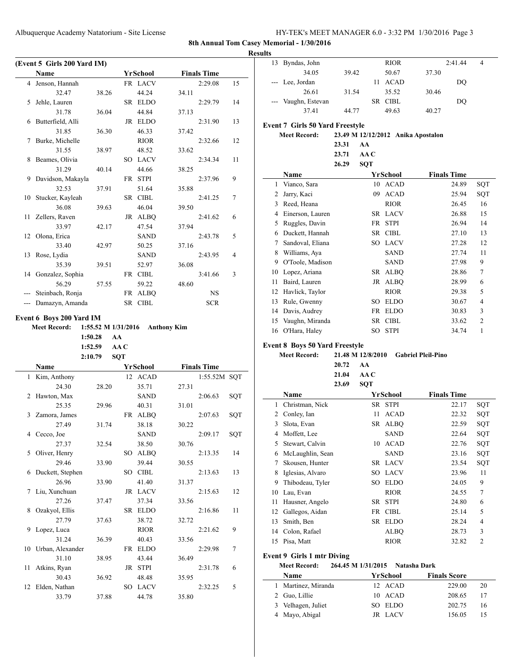| HY-TEK's MEET MANAGER 6.0 - 3:32 PM 1/30/2016 Page 3 |  |  |  |
|------------------------------------------------------|--|--|--|
|------------------------------------------------------|--|--|--|

**Results**

|     | (Event 5 Girls 200 Yard IM) |         |            |                 |       |                    |     |
|-----|-----------------------------|---------|------------|-----------------|-------|--------------------|-----|
|     | Name                        |         |            | YrSchool        |       | <b>Finals Time</b> |     |
| 4   | Jenson, Hannah              |         |            | FR LACV         |       | 2:29.08            | 15  |
|     | 32.47                       | 38.26   |            | 44.24           | 34.11 |                    |     |
| 5   | Jehle, Lauren               |         |            | SR ELDO         |       | 2:29.79            | 14  |
|     | 31.78                       | 36.04   |            | 44.84           | 37.13 |                    |     |
| 6   | Butterfield, Alli           |         |            | JR ELDO         |       | 2:31.90            | 13  |
|     | 31.85                       | 36.30   |            | 46.33           | 37.42 |                    |     |
| 7   | Burke, Michelle             |         |            | <b>RIOR</b>     |       | 2:32.66            | 12  |
|     | 31.55                       | 38.97   |            | 48.52           | 33.62 |                    |     |
| 8   | Beames, Olivia              |         |            | SO LACV         |       | 2:34.34            | 11  |
|     | 31.29                       | 40.14   |            | 44.66           | 38.25 |                    |     |
| 9   | Davidson, Makayla           |         |            | FR STPI         |       | 2:37.96            | 9   |
|     | 32.53                       | 37.91   |            | 51.64           | 35.88 |                    |     |
| 10  | Stucker, Kayleah            |         |            | SR CIBL         |       | 2:41.25            | 7   |
|     | 36.08                       | 39.63   |            | 46.04           | 39.50 |                    |     |
| 11  | Zellers, Raven              |         |            | JR ALBQ         |       | 2:41.62            | 6   |
|     | 33.97                       | 42.17   |            | 47.54           | 37.94 |                    |     |
| 12  | Olona, Erica                |         |            | SAND            |       | 2:43.78            | 5   |
|     | 33.40                       | 42.97   |            | 50.25           | 37.16 |                    |     |
| 13  | Rose, Lydia                 |         |            | SAND            |       | 2:43.95            | 4   |
|     | 35.39                       | 39.51   |            | 52.97           | 36.08 |                    |     |
| 14  | Gonzalez, Sophia            |         |            | FR CIBL         |       | 3:41.66            | 3   |
|     | 56.29                       | 57.55   |            | 59.22           | 48.60 |                    |     |
| --- | Steinbach, Ronja            |         | FR         | <b>ALBQ</b>     |       | NS.                |     |
|     | --- Damazyn, Amanda         |         |            | SR CIBL         |       | <b>SCR</b>         |     |
|     | 1:50.28                     | 1:52.59 | AA<br>AA C |                 |       |                    |     |
|     | 2:10.79                     |         | SQT        |                 |       |                    |     |
|     | Name                        |         |            | <b>YrSchool</b> |       | <b>Finals Time</b> |     |
| 1   | Kim, Anthony                |         | 12         | <b>ACAD</b>     |       | 1:55.52M SQT       |     |
|     | 24.30                       | 28.20   |            | 35.71           | 27.31 |                    |     |
| 2   | Hawton, Max                 |         |            | SAND            |       | 2:06.63            | SQT |
|     | 25.35                       | 29.96   |            | 40.31           | 31.01 |                    |     |
| 3   | Zamora, James               |         |            | FR ALBQ         |       | 2:07.63            | SQT |
|     | 27.49                       | 31.74   |            | 38.18           | 30.22 |                    |     |
|     | 4 Cecco, Joe                |         |            | <b>SAND</b>     |       | 2:09.17            | SQT |
|     | 27.37                       | 32.54   |            | 38.50           | 30.76 |                    |     |
| 5   | Oliver, Henry               |         | SO.        | <b>ALBQ</b>     |       | 2:13.35            | 14  |
|     | 29.46                       | 33.90   |            | 39.44           | 30.55 |                    |     |
| 6   | Duckett, Stephen            |         | SO         | <b>CIBL</b>     |       | 2:13.63            | 13  |
|     | 26.96                       | 33.90   |            | 41.40           | 31.37 |                    |     |
| 7   | Liu, Xunchuan               |         |            | JR LACV         |       | 2:15.63            | 12  |
|     | 27.26                       | 37.47   |            | 37.34           | 33.56 |                    |     |
| 8   | Ozakyol, Ellis              |         |            | SR ELDO         |       | 2:16.86            | 11  |
|     | 27.79                       | 37.63   |            | 38.72           | 32.72 |                    |     |
| 9   | Lopez, Luca                 |         |            | <b>RIOR</b>     |       | 2:21.62            | 9   |
|     | 31.24                       | 36.39   |            | 40.43           | 33.56 |                    |     |
| 10  | Urban, Alexander            |         | FR         | <b>ELDO</b>     |       | 2:29.98            | 7   |
|     | 31.10                       | 38.95   |            | 43.44           | 36.49 |                    |     |
| 11  | Atkins, Ryan                |         | JR         | STPI            |       | 2:31.78            | 6   |
|     | 30.43                       | 36.92   |            | 48.48           | 35.95 |                    |     |
| 12  | Elden, Nathan               |         |            | SO LACV         |       | 2:32.25            | 5   |
|     | 33.79                       | 37.88   |            | 44.78           | 35.80 |                    |     |
|     |                             |         |            |                 |       |                    |     |

| . |                     |       |             |       |         |   |  |
|---|---------------------|-------|-------------|-------|---------|---|--|
|   | 13 Byndas, John     |       | <b>RIOR</b> |       | 2:41.44 | 4 |  |
|   | 34.05               | 39.42 | 50.67       | 37.30 |         |   |  |
|   | --- Lee, Jordan     |       | <b>ACAD</b> |       | DO      |   |  |
|   | 26.61               | 31.54 | 35.52       | 30.46 |         |   |  |
|   | --- Vaughn, Estevan |       | SR CIBL     |       | DO      |   |  |
|   | 37.41               | 44.77 | 49.63       | 40.27 |         |   |  |

## **Event 7 Girls 50 Yard Freestyle**

| <b>Meet Record:</b> | 23.31<br>23.71<br>26.29 | AA<br>AA C<br><b>SOT</b> | 23.49 M 12/12/2012 Anika Apostalon |                    |     |
|---------------------|-------------------------|--------------------------|------------------------------------|--------------------|-----|
| Name                |                         | YrSchool                 |                                    | <b>Finals Time</b> |     |
| 1 Vianco, Sara      |                         | 10                       | ACAD                               | 24.89              | SOT |
| 2 Jarry, Kaci       |                         | 09                       | ACAD                               | 25.94              | SOT |
| Reed, Heana         |                         |                          | <b>RIOR</b>                        | 26.45              | 16  |
|                     |                         |                          |                                    |                    |     |

| 3  | Reed, Heana      |      | <b>RIOR</b> | 26.45 | 16             |
|----|------------------|------|-------------|-------|----------------|
| 4  | Einerson, Lauren |      | SR LACV     | 26.88 | 15             |
| 5  | Ruggles, Davin   | FR   | <b>STPI</b> | 26.94 | 14             |
| 6  | Duckett, Hannah  |      | SR CIBL     | 27.10 | 13             |
| 7  | Sandoval, Eliana |      | SO LACV     | 27.28 | 12             |
| 8  | Williams, Aya    |      | <b>SAND</b> | 27.74 | 11             |
| 9  | O'Toole, Madison |      | <b>SAND</b> | 27.98 | 9              |
| 10 | Lopez, Ariana    | SR.  | <b>ALBO</b> | 28.86 | 7              |
| 11 | Baird, Lauren    |      | JR ALBO     | 28.99 | 6              |
| 12 | Havlick, Taylor  |      | <b>RIOR</b> | 29.38 | 5              |
| 13 | Rule, Gwenny     | SО   | <b>ELDO</b> | 30.67 | 4              |
| 14 | Davis, Audrey    | FR   | <b>ELDO</b> | 30.83 | 3              |
| 15 | Vaughn, Miranda  | SR - | <b>CIBL</b> | 33.62 | $\overline{2}$ |
|    | 16 O'Hara, Haley | SO - | <b>STPI</b> | 34.74 |                |

#### **Event 8 Boys 50 Yard Freestyle**

| <b>Meet Record:</b> |                  | 21.48 M 12/8/2010 Gabriel Pleil-Pino |
|---------------------|------------------|--------------------------------------|
|                     | $20.72 \quad AA$ |                                      |
|                     | 21.04 $AA$ C     |                                      |
|                     | 23.69 SOT        |                                      |

|    | Name             |     | YrSchool    | <b>Finals Time</b> |                |
|----|------------------|-----|-------------|--------------------|----------------|
| 1  | Christman, Nick  |     | SR STPI     | 22.17              | SQT            |
| 2  | Conley, Ian      | 11  | <b>ACAD</b> | 22.32              | SQT            |
| 3  | Slota, Evan      |     | SR ALBO     | 22.59              | SQT            |
| 4  | Moffett, Lee     |     | <b>SAND</b> | 22.64              | SQT            |
| 5  | Stewart, Calvin  | 10  | <b>ACAD</b> | 22.76              | SQT            |
| 6  | McLaughlin, Sean |     | <b>SAND</b> | 23.16              | SQT            |
| 7  | Skousen, Hunter  |     | SR LACV     | 23.54              | SQT            |
| 8  | Iglesias, Alvaro | SО  | <b>LACV</b> | 23.96              | 11             |
| 9  | Thibodeau, Tyler | SО  | <b>ELDO</b> | 24.05              | 9              |
| 10 | Lau, Evan        |     | <b>RIOR</b> | 24.55              | 7              |
| 11 | Hausner, Angelo  | SR. | <b>STPI</b> | 24.80              | 6              |
| 12 | Gallegos, Aidan  | FR  | <b>CIBL</b> | 25.14              | 5              |
| 13 | Smith, Ben       | SR. | <b>ELDO</b> | 28.24              | $\overline{4}$ |
| 14 | Colon, Rafael    |     | ALBO        | 28.73              | 3              |
| 15 | Pisa, Matt       |     | <b>RIOR</b> | 32.82              | $\overline{2}$ |

## **Event 9 Girls 1 mtr Diving**

#### **Meet Record: 264.45 M 1/31/2015 Natasha Dark**

| <b>Name</b>         | YrSchool | <b>Finals Score</b> |    |
|---------------------|----------|---------------------|----|
| 1 Martinez, Miranda | 12 ACAD  | 229.00              | 20 |
| 2 Guo, Lillie       | 10 ACAD  | 208.65              | 17 |
| 3 Velhagen, Juliet  | SO ELDO  | 202.75              | 16 |
| 4 Mayo, Abigal      | JR LACV  | 156.05              |    |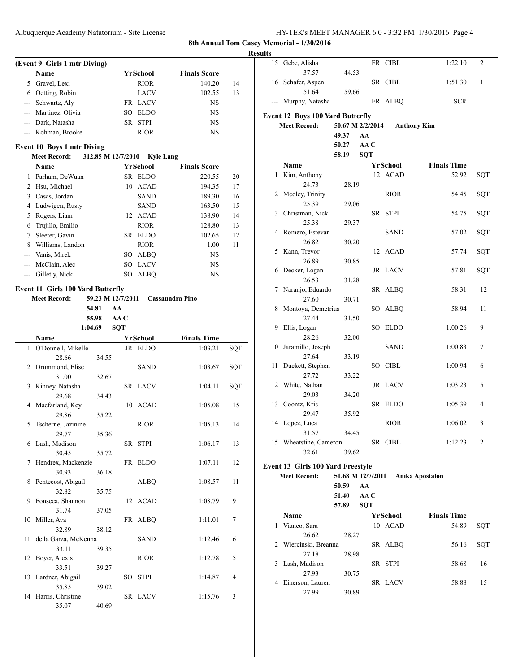| HY-TEK's MEET MANAGER 6.0 - 3:32 PM 1/30/2016 Page 4 |  |
|------------------------------------------------------|--|
|------------------------------------------------------|--|

# **(Event 9 Girls 1 mtr Diving) Name Yr School Finals Score** 5 Gravel, Lexi RIOR 140.20 14 6 Oetting, Robin LACV 102.55 13 --- Schwartz, Aly FR LACV NS --- Martinez, Olivia SO ELDO NS --- Dark, Natasha SR STPI NS --- Kohman, Brooke RIOR NS

## **Event 10 Boys 1 mtr Diving**

#### **Meet Record: 312.85 M 12/7/2010 Kyle Lang**

|    | <b>Name</b>        |      | YrSchool    | <b>Finals Score</b> |    |
|----|--------------------|------|-------------|---------------------|----|
|    | Parham, DeWuan     | SR – | <b>ELDO</b> | 220.55              | 20 |
| 2  | Hsu, Michael       | 10   | ACAD        | 194.35              | 17 |
| 3  | Casas, Jordan      |      | <b>SAND</b> | 189.30              | 16 |
| 4  | Ludwigen, Rusty    |      | <b>SAND</b> | 163.50              | 15 |
| 5. | Rogers, Liam       |      | 12 ACAD     | 138.90              | 14 |
| 6  | Trujillo, Emilio   |      | <b>RIOR</b> | 128.80              | 13 |
|    | Sleeter, Gavin     |      | SR ELDO     | 102.65              | 12 |
| 8  | Williams, Landon   |      | <b>RIOR</b> | 1.00                | 11 |
|    | Vanis, Mirek       | SО   | ALBO        | NS                  |    |
|    | McClain, Alec      | SO.  | <b>LACV</b> | NS                  |    |
|    | --- Gilletly, Nick | SО   | <b>ALBO</b> | NS                  |    |

| <b>Meet Record:</b><br>59.23 M 12/7/2011<br>Cassaundra Pino<br>54.81<br>AA<br>55.98<br>AA C<br>1:04.69<br><b>SQT</b><br><b>Finals Time</b><br>YrSchool<br><b>Name</b><br>JR ELDO<br>1 O'Donnell, Mikelle<br>1:03.21<br><b>SQT</b><br>28.66<br>34.55<br>2 Drummond, Elise<br><b>SAND</b><br>1:03.67<br>SQT<br>31.00<br>32.67<br>Kinney, Natasha<br>3<br>SR LACV<br>1:04.11<br>SQT<br>29.68<br>34.43<br>4 Macfarland, Key<br>10 ACAD<br>1:05.08<br>15<br>29.86<br>35.22<br>Tscherne, Jazmine<br><b>RIOR</b><br>5<br>1:05.13<br>14<br>29.77<br>35.36<br>6 Lash, Madison<br>SR STPI<br>1:06.17<br>13<br>30.45<br>35.72<br>Hendrex, Mackenzie<br>FR ELDO<br>1:07.11<br>12<br>7<br>30.93<br>36.18<br>Pentecost, Abigail<br><b>ALBQ</b><br>1:08.57<br>11<br>8<br>32.82<br>35.75<br>Fonseca, Shannon<br>12 ACAD<br>1:08.79<br>9<br>9<br>31.74<br>37.05<br>10 Miller, Ava<br>FR ALBQ<br>1:11.01<br>7<br>32.89<br>38.12 | <b>Event 11 Girls 100 Yard Butterfly</b> |  |  |  |  |  |  |  |  |
|---------------------------------------------------------------------------------------------------------------------------------------------------------------------------------------------------------------------------------------------------------------------------------------------------------------------------------------------------------------------------------------------------------------------------------------------------------------------------------------------------------------------------------------------------------------------------------------------------------------------------------------------------------------------------------------------------------------------------------------------------------------------------------------------------------------------------------------------------------------------------------------------------------------|------------------------------------------|--|--|--|--|--|--|--|--|
|                                                                                                                                                                                                                                                                                                                                                                                                                                                                                                                                                                                                                                                                                                                                                                                                                                                                                                               |                                          |  |  |  |  |  |  |  |  |
|                                                                                                                                                                                                                                                                                                                                                                                                                                                                                                                                                                                                                                                                                                                                                                                                                                                                                                               |                                          |  |  |  |  |  |  |  |  |
|                                                                                                                                                                                                                                                                                                                                                                                                                                                                                                                                                                                                                                                                                                                                                                                                                                                                                                               |                                          |  |  |  |  |  |  |  |  |
|                                                                                                                                                                                                                                                                                                                                                                                                                                                                                                                                                                                                                                                                                                                                                                                                                                                                                                               |                                          |  |  |  |  |  |  |  |  |
|                                                                                                                                                                                                                                                                                                                                                                                                                                                                                                                                                                                                                                                                                                                                                                                                                                                                                                               |                                          |  |  |  |  |  |  |  |  |
|                                                                                                                                                                                                                                                                                                                                                                                                                                                                                                                                                                                                                                                                                                                                                                                                                                                                                                               |                                          |  |  |  |  |  |  |  |  |
|                                                                                                                                                                                                                                                                                                                                                                                                                                                                                                                                                                                                                                                                                                                                                                                                                                                                                                               |                                          |  |  |  |  |  |  |  |  |
|                                                                                                                                                                                                                                                                                                                                                                                                                                                                                                                                                                                                                                                                                                                                                                                                                                                                                                               |                                          |  |  |  |  |  |  |  |  |
|                                                                                                                                                                                                                                                                                                                                                                                                                                                                                                                                                                                                                                                                                                                                                                                                                                                                                                               |                                          |  |  |  |  |  |  |  |  |
|                                                                                                                                                                                                                                                                                                                                                                                                                                                                                                                                                                                                                                                                                                                                                                                                                                                                                                               |                                          |  |  |  |  |  |  |  |  |
|                                                                                                                                                                                                                                                                                                                                                                                                                                                                                                                                                                                                                                                                                                                                                                                                                                                                                                               |                                          |  |  |  |  |  |  |  |  |
|                                                                                                                                                                                                                                                                                                                                                                                                                                                                                                                                                                                                                                                                                                                                                                                                                                                                                                               |                                          |  |  |  |  |  |  |  |  |
|                                                                                                                                                                                                                                                                                                                                                                                                                                                                                                                                                                                                                                                                                                                                                                                                                                                                                                               |                                          |  |  |  |  |  |  |  |  |
|                                                                                                                                                                                                                                                                                                                                                                                                                                                                                                                                                                                                                                                                                                                                                                                                                                                                                                               |                                          |  |  |  |  |  |  |  |  |
|                                                                                                                                                                                                                                                                                                                                                                                                                                                                                                                                                                                                                                                                                                                                                                                                                                                                                                               |                                          |  |  |  |  |  |  |  |  |
|                                                                                                                                                                                                                                                                                                                                                                                                                                                                                                                                                                                                                                                                                                                                                                                                                                                                                                               |                                          |  |  |  |  |  |  |  |  |
|                                                                                                                                                                                                                                                                                                                                                                                                                                                                                                                                                                                                                                                                                                                                                                                                                                                                                                               |                                          |  |  |  |  |  |  |  |  |
|                                                                                                                                                                                                                                                                                                                                                                                                                                                                                                                                                                                                                                                                                                                                                                                                                                                                                                               |                                          |  |  |  |  |  |  |  |  |
|                                                                                                                                                                                                                                                                                                                                                                                                                                                                                                                                                                                                                                                                                                                                                                                                                                                                                                               |                                          |  |  |  |  |  |  |  |  |
|                                                                                                                                                                                                                                                                                                                                                                                                                                                                                                                                                                                                                                                                                                                                                                                                                                                                                                               |                                          |  |  |  |  |  |  |  |  |
|                                                                                                                                                                                                                                                                                                                                                                                                                                                                                                                                                                                                                                                                                                                                                                                                                                                                                                               |                                          |  |  |  |  |  |  |  |  |
|                                                                                                                                                                                                                                                                                                                                                                                                                                                                                                                                                                                                                                                                                                                                                                                                                                                                                                               |                                          |  |  |  |  |  |  |  |  |
|                                                                                                                                                                                                                                                                                                                                                                                                                                                                                                                                                                                                                                                                                                                                                                                                                                                                                                               |                                          |  |  |  |  |  |  |  |  |
|                                                                                                                                                                                                                                                                                                                                                                                                                                                                                                                                                                                                                                                                                                                                                                                                                                                                                                               |                                          |  |  |  |  |  |  |  |  |
|                                                                                                                                                                                                                                                                                                                                                                                                                                                                                                                                                                                                                                                                                                                                                                                                                                                                                                               |                                          |  |  |  |  |  |  |  |  |
| 11<br>de la Garza, McKenna<br><b>SAND</b><br>1:12.46<br>6                                                                                                                                                                                                                                                                                                                                                                                                                                                                                                                                                                                                                                                                                                                                                                                                                                                     |                                          |  |  |  |  |  |  |  |  |
| 33.11<br>39.35                                                                                                                                                                                                                                                                                                                                                                                                                                                                                                                                                                                                                                                                                                                                                                                                                                                                                                |                                          |  |  |  |  |  |  |  |  |
| Boyer, Alexis<br>12<br><b>RIOR</b><br>1:12.78<br>5                                                                                                                                                                                                                                                                                                                                                                                                                                                                                                                                                                                                                                                                                                                                                                                                                                                            |                                          |  |  |  |  |  |  |  |  |
| 33.51<br>39.27<br>SO STPI<br>4                                                                                                                                                                                                                                                                                                                                                                                                                                                                                                                                                                                                                                                                                                                                                                                                                                                                                |                                          |  |  |  |  |  |  |  |  |
| 13 Lardner, Abigail<br>1:14.87<br>35.85                                                                                                                                                                                                                                                                                                                                                                                                                                                                                                                                                                                                                                                                                                                                                                                                                                                                       |                                          |  |  |  |  |  |  |  |  |
| 39.02<br>SR LACV<br>1:15.76<br>3                                                                                                                                                                                                                                                                                                                                                                                                                                                                                                                                                                                                                                                                                                                                                                                                                                                                              |                                          |  |  |  |  |  |  |  |  |
| 14 Harris, Christine<br>35.07<br>40.69                                                                                                                                                                                                                                                                                                                                                                                                                                                                                                                                                                                                                                                                                                                                                                                                                                                                        |                                          |  |  |  |  |  |  |  |  |
|                                                                                                                                                                                                                                                                                                                                                                                                                                                                                                                                                                                                                                                                                                                                                                                                                                                                                                               |                                          |  |  |  |  |  |  |  |  |

| <b>Results</b> |                                                                |                           |            |                 |                    |     |
|----------------|----------------------------------------------------------------|---------------------------|------------|-----------------|--------------------|-----|
|                | 15 Gebe, Alisha<br>37.57                                       | 44.53                     |            | FR CIBL         | 1:22.10            | 2   |
|                | 16 Schafer, Aspen                                              |                           |            | SR CIBL         | 1:51.30            | 1   |
|                | 51.64<br>--- Murphy, Natasha                                   | 59.66                     |            | FR ALBQ         | <b>SCR</b>         |     |
|                | <b>Event 12 Boys 100 Yard Butterfly</b><br><b>Meet Record:</b> |                           |            |                 |                    |     |
|                |                                                                | 50.67 M 2/2/2014<br>49.37 | AA         |                 | <b>Anthony Kim</b> |     |
|                |                                                                | 50.27                     | AAC        |                 |                    |     |
|                |                                                                | 58.19                     | <b>SQT</b> |                 |                    |     |
|                | Name                                                           |                           |            | <b>YrSchool</b> | <b>Finals Time</b> |     |
|                | 1 Kim, Anthony                                                 |                           |            | 12 ACAD         | 52.92              | SQT |
|                | 24.73                                                          | 28.19                     |            |                 |                    |     |
|                | 2 Medley, Trinity                                              |                           |            | <b>RIOR</b>     | 54.45              | SQT |
|                | 25.39                                                          | 29.06                     |            |                 |                    |     |
|                | 3 Christman, Nick                                              |                           |            | SR STPI         | 54.75              | SQT |
|                | 25.38                                                          | 29.37                     |            |                 |                    |     |
|                | 4 Romero, Estevan                                              |                           |            | <b>SAND</b>     | 57.02              | SQT |
|                | 26.82                                                          | 30.20                     |            |                 |                    |     |
|                | 5 Kann, Trevor                                                 |                           |            | 12 ACAD         | 57.74              | SQT |
|                | 26.89                                                          | 30.85                     |            |                 |                    |     |
|                | 6 Decker, Logan                                                |                           |            | <b>JR LACV</b>  | 57.81              | SQT |
|                | 26.53                                                          | 31.28                     |            |                 |                    |     |
|                | 7 Naranjo, Eduardo                                             |                           |            | SR ALBQ         | 58.31              | 12  |
|                | 27.60                                                          | 30.71                     |            |                 |                    |     |
| 8              | Montoya, Demetrius                                             |                           |            | SO ALBQ         | 58.94              | 11  |
|                | 27.44                                                          | 31.50                     |            |                 |                    |     |
| 9              | Ellis, Logan                                                   |                           |            | SO ELDO         | 1:00.26            | 9   |
|                | 28.26                                                          | 32.00                     |            |                 |                    |     |
| 10             | Jaramillo, Joseph                                              |                           |            | SAND            | 1:00.83            | 7   |
|                | 27.64                                                          | 33.19                     |            |                 |                    |     |
| 11             | Duckett, Stephen                                               |                           |            | SO CIBL         | 1:00.94            | 6   |
|                | 27.72                                                          | 33.22                     |            |                 |                    |     |
|                | 12 White, Nathan                                               |                           |            | JR LACV         | 1:03.23            | 5   |
|                | 29.03<br>13 Coontz, Kris                                       | 34.20                     |            | SR ELDO         | 1:05.39            | 4   |
|                | 29.47                                                          | 35.92                     |            |                 |                    |     |
|                | 14 Lopez, Luca                                                 |                           |            | <b>RIOR</b>     | 1:06.02            | 3   |
|                | 31.57                                                          | 34.45                     |            |                 |                    |     |
|                | 15 Wheatstine, Cameron                                         |                           |            | SR CIBL         | 1:12.23            | 2   |
|                | 32.61                                                          | 39.62                     |            |                 |                    |     |
|                |                                                                |                           |            |                 |                    |     |
|                | <b>Event 13 Girls 100 Yard Freestyle</b>                       |                           |            |                 |                    |     |
|                | <b>Meet Record:</b>                                            | 51.68 M 12/7/2011         |            |                 | Anika Apostalon    |     |
|                |                                                                | 50.59                     | AA         |                 |                    |     |
|                |                                                                | 51.40                     | AA C       |                 |                    |     |
|                |                                                                | 57.89                     | SQT        |                 |                    |     |
|                | Name                                                           |                           |            | YrSchool        | <b>Finals Time</b> |     |
|                | 1 Vianco, Sara                                                 |                           |            | 10 ACAD         | 54.89              | SQT |
|                | 26.62                                                          | 28.27                     |            |                 |                    |     |
|                | 2 Wiercinski, Breanna                                          |                           |            | SR ALBQ         | 56.16              | SQT |
|                | 27.18                                                          | 28.98                     |            |                 |                    |     |
|                | 3 Lash, Madison                                                |                           |            | SR STPI         | 58.68              | 16  |
|                | 27.93                                                          | 30.75                     |            |                 |                    |     |

4 Einerson, Lauren SR LACV 58.88 15

27.99 30.89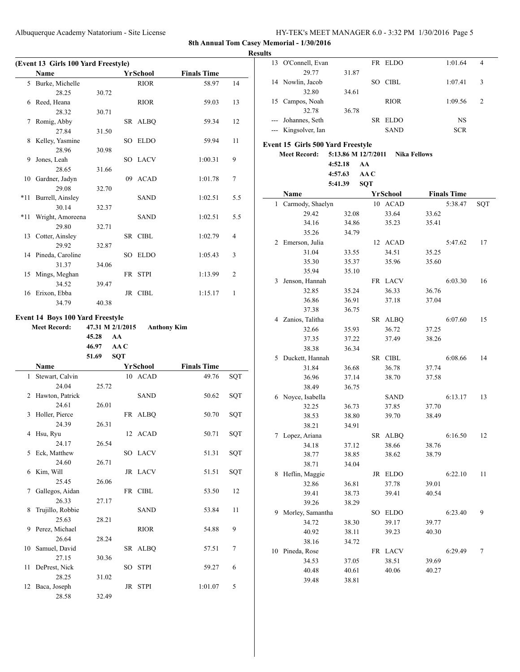**Results**

|     | (Event 13 Girls 100 Yard Freestyle) |                                          |      |                    |                    |                |  |
|-----|-------------------------------------|------------------------------------------|------|--------------------|--------------------|----------------|--|
|     | Name                                |                                          |      | YrSchool           | <b>Finals Time</b> |                |  |
|     | 5 Burke, Michelle                   |                                          |      | <b>RIOR</b>        | 58.97              | 14             |  |
|     | 28.25                               | 30.72                                    |      |                    |                    |                |  |
| 6   | Reed, Heana                         |                                          |      | RIOR               | 59.03              | 13             |  |
|     | 28.32                               | 30.71                                    |      |                    |                    |                |  |
| 7   | Romig, Abby                         |                                          |      | SR ALBQ            | 59.34              | 12             |  |
|     | 27.84                               | 31.50                                    |      |                    |                    |                |  |
| 8   | Kelley, Yasmine                     |                                          | SO   | <b>ELDO</b>        | 59.94              | 11             |  |
|     | 28.96                               | 30.98                                    |      | SO LACV            | 1:00.31            | 9              |  |
| 9   | Jones, Leah<br>28.65                | 31.66                                    |      |                    |                    |                |  |
| 10  | Gardner, Jadyn                      |                                          | 09   | <b>ACAD</b>        | 1:01.78            | 7              |  |
|     | 29.08                               | 32.70                                    |      |                    |                    |                |  |
| *11 | Burrell, Ainsley                    |                                          |      | <b>SAND</b>        | 1:02.51            | 5.5            |  |
|     | 30.14                               | 32.37                                    |      |                    |                    |                |  |
| *11 | Wright, Amoreena                    |                                          |      | SAND               | 1:02.51            | 5.5            |  |
|     | 29.80                               | 32.71                                    |      |                    |                    |                |  |
| 13  | Cotter, Ainsley                     |                                          |      | SR CIBL            | 1:02.79            | $\overline{4}$ |  |
|     | 29.92                               | 32.87                                    |      |                    |                    |                |  |
|     | 14 Pineda, Caroline                 |                                          |      | SO ELDO            | 1:05.43            | 3              |  |
|     | 31.37                               | 34.06                                    |      |                    |                    |                |  |
| 15  | Mings, Meghan                       |                                          |      | FR STPI            | 1:13.99            | 2              |  |
|     | 34.52                               | 39.47                                    |      |                    |                    |                |  |
| 16  | Erixon, Ebba                        |                                          |      | JR CIBL            | 1:15.17            | 1              |  |
|     | 34.79                               | 40.38                                    |      |                    |                    |                |  |
|     | <b>Meet Record:</b>                 | 47.31 M 2/1/2015<br>45.28<br>AA<br>46.97 | AA C | <b>Anthony Kim</b> |                    |                |  |
|     |                                     | 51.69                                    | SQT  |                    |                    |                |  |
|     | Name                                |                                          |      | YrSchool           | <b>Finals Time</b> |                |  |
| 1   | Stewart, Calvin                     |                                          |      | 10 ACAD            | 49.76              | SQT            |  |
| 2   | 24.04<br>Hawton, Patrick            | 25.72                                    |      | SAND               | 50.62              |                |  |
|     | 24.61                               | 26.01                                    |      |                    |                    | SQT            |  |
| 3   | Holler, Pierce                      |                                          |      | FR ALBQ            | 50.70              | SQT            |  |
|     | 24.39                               | 26.31                                    |      |                    |                    |                |  |
|     | 4 Hsu, Ryu                          |                                          |      | 12 ACAD            | $50.71\,$          | SQT            |  |
|     | 24.17                               | 26.54                                    |      |                    |                    |                |  |
| 5   | Eck, Matthew                        |                                          |      | SO LACV            | 51.31              | SQT            |  |
|     | 24.60                               | 26.71                                    |      |                    |                    |                |  |
| 6   | Kim, Will                           |                                          |      | JR LACV            | 51.51              | SQT            |  |
|     | 25.45                               | 26.06                                    |      |                    |                    |                |  |
| 7   | Gallegos, Aidan                     |                                          |      | FR CIBL            | 53.50              | 12             |  |
|     | 26.33                               | 27.17                                    |      |                    |                    |                |  |
| 8   | Trujillo, Robbie                    |                                          |      | <b>SAND</b>        | 53.84              | 11             |  |
|     | 25.63                               | 28.21                                    |      |                    |                    |                |  |
| 9   | Perez, Michael                      |                                          |      | <b>RIOR</b>        | 54.88              | 9              |  |
|     | 26.64                               | 28.24                                    |      |                    |                    |                |  |
| 10  | Samuel, David                       |                                          | SR   | <b>ALBQ</b>        | 57.51              | 7              |  |
|     | 27.15                               | 30.36                                    | SO   | <b>STPI</b>        |                    | 6              |  |
| 11  | DePrest, Nick                       |                                          |      |                    |                    |                |  |
|     |                                     |                                          |      |                    | 59.27              |                |  |
|     | 28.25                               | 31.02                                    |      |                    |                    |                |  |
| 12  | Baca, Joseph<br>28.58               | 32.49                                    | JR   | <b>STPI</b>        | 1:01.07            | 5              |  |

| 13 | O'Connell, Evan                   |                     | FR         | ELDO            |                     | 1:01.64            | 4   |
|----|-----------------------------------|---------------------|------------|-----------------|---------------------|--------------------|-----|
|    | 29.77                             | 31.87               |            |                 |                     |                    |     |
|    | 14 Nowlin, Jacob                  |                     |            | SO CIBL         |                     | 1:07.41            | 3   |
|    | 32.80                             | 34.61               |            |                 |                     |                    |     |
| 15 | Campos, Noah                      |                     |            | <b>RIOR</b>     |                     | 1:09.56            | 2   |
|    | 32.78                             | 36.78               |            |                 |                     |                    |     |
|    | --- Johannes, Seth                |                     | SR         | ELDO            |                     | NS                 |     |
|    | --- Kingsolver, Ian               |                     |            | <b>SAND</b>     |                     | <b>SCR</b>         |     |
|    |                                   |                     |            |                 |                     |                    |     |
|    | Event 15 Girls 500 Yard Freestyle |                     |            |                 |                     |                    |     |
|    | <b>Meet Record:</b>               | 5:13.86 M 12/7/2011 |            |                 | <b>Nika Fellows</b> |                    |     |
|    |                                   | 4:52.18             | AA         |                 |                     |                    |     |
|    |                                   | 4:57.63             | AA C       |                 |                     |                    |     |
|    |                                   | 5:41.39             | <b>SQT</b> |                 |                     |                    |     |
|    | Name                              |                     |            | <b>YrSchool</b> |                     | <b>Finals Time</b> |     |
| 1  | Carmody, Shaelyn                  |                     | 10         | <b>ACAD</b>     |                     | 5:38.47            | SQT |
|    | 29.42                             | 32.08               |            | 33.64           | 33.62               |                    |     |
|    | 34.16                             | 34.86               |            | 35.23           | 35.41               |                    |     |
|    | 35.26                             | 34.79               |            |                 |                     |                    |     |
|    | 2 Emerson, Julia                  |                     | 12         | ACAD            |                     | 5:47.62            | 17  |
|    | 31.04                             | 33.55               |            | 34.51           | 35.25               |                    |     |
|    | 35.30                             | 35.37               |            | 35.96           | 35.60               |                    |     |
|    | 35.94                             | 35.10               |            |                 |                     |                    |     |
| 3  | Jenson, Hannah                    |                     |            | FR LACV         |                     | 6:03.30            | 16  |
|    | 32.85                             | 35.24               |            | 36.33           | 36.76               |                    |     |
|    | 36.86                             | 36.91               |            | 37.18           | 37.04               |                    |     |
|    | 37.38                             | 36.75               |            |                 |                     |                    |     |
|    | 4 Zanios, Talitha                 |                     | SR         | ALBQ            |                     | 6:07.60            | 15  |
|    | 32.66                             | 35.93               |            | 36.72           | 37.25               |                    |     |
|    | 37.35                             | 37.22               |            | 37.49           | 38.26               |                    |     |
|    | 38.38                             | 36.34               |            |                 |                     |                    |     |
| 5  | Duckett, Hannah                   |                     |            | SR CIBL         |                     | 6:08.66            | 14  |
|    | 31.84                             | 36.68               |            | 36.78           | 37.74               |                    |     |
|    | 36.96                             | 37.14               |            | 38.70           | 37.58               |                    |     |
|    | 38.49                             | 36.75               |            |                 |                     |                    |     |
| 6  | Noyce, Isabella                   |                     |            | SAND            |                     | 6:13.17            | 13  |
|    | 32.25                             | 36.73               |            | 37.85           | 37.70               |                    |     |
|    | 38.53                             | 38.80               |            | 39.70           | 38.49               |                    |     |
|    | 38.21                             | 34.91               |            |                 |                     |                    |     |
| 7  | Lopez, Ariana                     |                     |            | SR ALBQ         |                     | 6:16.50            | 12  |
|    | 34.18                             | 37.12               |            | 38.66           | 38.76               |                    |     |
|    | 38.77                             | 38.85               |            | 38.62           | 38.79               |                    |     |
|    | 38.71                             | 34.04               |            |                 |                     |                    |     |
| 8  | Heflin, Maggie                    |                     | JR         | ELDO            |                     | 6:22.10            | 11  |
|    | 32.86                             | 36.81               |            | 37.78           | 39.01               |                    |     |
|    | 39.41                             | 38.73               |            | 39.41           | 40.54               |                    |     |
|    | 39.26                             | 38.29               |            |                 |                     |                    |     |
| 9  | Morley, Samantha                  |                     | SO         | <b>ELDO</b>     |                     | 6:23.40            | 9   |
|    | 34.72                             | 38.30               |            | 39.17           | 39.77               |                    |     |
|    | 40.92                             | 38.11               |            | 39.23           | 40.30               |                    |     |
|    | 38.16                             | 34.72               |            |                 |                     |                    |     |
| 10 | Pineda, Rose                      |                     | FR         | LACV            |                     | 6:29.49            | 7   |
|    | 34.53                             | 37.05               |            | 38.51           | 39.69               |                    |     |
|    | 40.48                             | 40.61               |            | 40.06           | 40.27               |                    |     |
|    | 39.48                             | 38.81               |            |                 |                     |                    |     |
|    |                                   |                     |            |                 |                     |                    |     |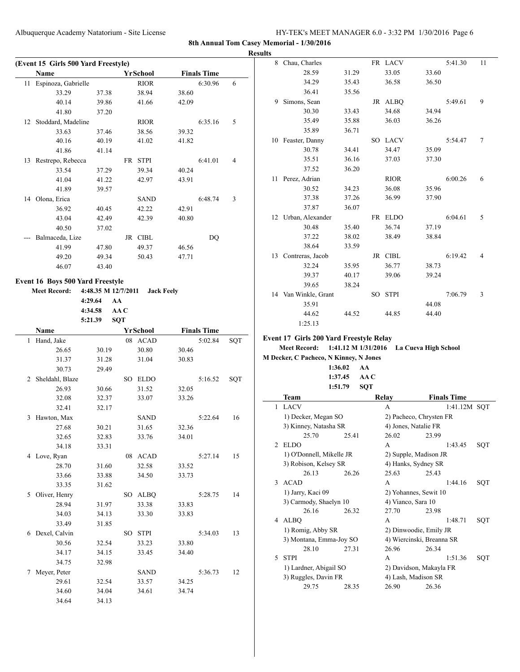|    | (Event 15 Girls 500 Yard Freestyle) |                     |            |                         |                |                               |     |
|----|-------------------------------------|---------------------|------------|-------------------------|----------------|-------------------------------|-----|
| 11 | Name                                |                     |            | YrSchool<br><b>RIOR</b> |                | <b>Finals Time</b><br>6:30.96 | 6   |
|    | Espinoza, Gabrielle<br>33.29        |                     |            | 38.94                   | 38.60          |                               |     |
|    | 40.14                               | 37.38<br>39.86      |            | 41.66                   | 42.09          |                               |     |
|    | 41.80                               | 37.20               |            |                         |                |                               |     |
| 12 | Stoddard, Madeline                  |                     |            | <b>RIOR</b>             |                | 6:35.16                       | 5   |
|    | 33.63                               | 37.46               |            | 38.56                   | 39.32          |                               |     |
|    | 40.16                               | 40.19               |            | 41.02                   | 41.82          |                               |     |
|    | 41.86                               | 41.14               |            |                         |                |                               |     |
|    | 13 Restrepo, Rebecca                |                     |            | FR STPI                 |                | 6:41.01                       | 4   |
|    | 33.54                               | 37.29               |            | 39.34                   | 40.24          |                               |     |
|    | 41.04                               | 41.22               |            | 42.97                   | 43.91          |                               |     |
|    | 41.89                               | 39.57               |            |                         |                |                               |     |
|    | 14 Olona, Erica                     |                     |            | SAND                    |                | 6:48.74                       | 3   |
|    | 36.92                               | 40.45               |            | 42.22                   | 42.91          |                               |     |
|    | 43.04                               | 42.49               |            | 42.39                   | 40.80          |                               |     |
|    | 40.50                               | 37.02               |            |                         |                |                               |     |
|    | Balmaceda, Lize                     |                     |            | JR CIBL                 |                | DQ                            |     |
|    | 41.99                               | 47.80               |            | 49.37                   | 46.56          |                               |     |
|    | 49.20                               | 49.34               |            | 50.43                   | 47.71          |                               |     |
|    | 46.07                               | 43.40               |            |                         |                |                               |     |
|    |                                     |                     |            |                         |                |                               |     |
|    | Event 16 Boys 500 Yard Freestyle    |                     |            |                         |                |                               |     |
|    | <b>Meet Record:</b>                 | 4:48.35 M 12/7/2011 |            | <b>Jack Feely</b>       |                |                               |     |
|    |                                     | 4:29.64<br>AA       |            |                         |                |                               |     |
|    |                                     | 4:34.58             | AA C       |                         |                |                               |     |
|    |                                     | 5:21.39             | <b>SQT</b> |                         |                |                               |     |
|    |                                     |                     |            |                         |                |                               |     |
|    | Name                                |                     |            | <b>YrSchool</b>         |                | <b>Finals Time</b>            |     |
|    | Hand, Jake                          |                     |            | 08 ACAD                 |                | 5:02.84                       | SQT |
|    | 26.65                               | 30.19               |            | 30.80                   | 30.46          |                               |     |
|    | 31.37                               | 31.28               |            | 31.04                   | 30.83          |                               |     |
|    | 30.73                               | 29.49               |            |                         |                |                               |     |
|    | 2 Sheldahl, Blaze                   |                     |            | SO ELDO                 |                | 5:16.52                       | SQT |
| 1  | 26.93                               | 30.66               |            | 31.52                   | 32.05          |                               |     |
|    | 32.08                               | 32.37               |            | 33.07                   | 33.26          |                               |     |
|    | 32.41                               | 32.17               |            |                         |                |                               |     |
| 3  | Hawton, Max                         |                     |            | <b>SAND</b>             |                | 5:22.64                       | 16  |
|    | 27.68                               | 30.21               |            | 31.65                   | 32.36          |                               |     |
|    | 32.65                               | 32.83               |            | 33.76                   | 34.01          |                               |     |
|    | 34.18                               | 33.31               |            |                         |                |                               |     |
|    | 4 Love, Ryan                        |                     |            | 08 ACAD                 |                | 5:27.14                       | 15  |
|    | 28.70                               | 31.60               |            | 32.58                   | 33.52          |                               |     |
|    | 33.66                               | 33.88               |            | 34.50                   | 33.73          |                               |     |
|    | 33.35                               | 31.62               |            |                         |                |                               |     |
| 5  | Oliver, Henry                       |                     |            | SO ALBQ                 |                | 5:28.75                       | 14  |
|    | 28.94                               | 31.97               |            | 33.38                   | 33.83          |                               |     |
|    | 34.03                               | 34.13               |            | 33.30                   | 33.83          |                               |     |
|    | 33.49                               | 31.85               |            |                         |                |                               |     |
| 6  | Dexel, Calvin                       |                     |            | SO STPI                 |                | 5:34.03                       | 13  |
|    | 30.56                               | 32.54               |            | 33.23                   | 33.80          |                               |     |
|    | 34.17                               | 34.15               |            | 33.45                   | 34.40          |                               |     |
|    | 34.75                               | 32.98               |            |                         |                |                               |     |
| 7  | Meyer, Peter                        |                     |            | SAND                    |                | 5:36.73                       | 12  |
|    | 29.61<br>34.60                      | 32.54<br>34.04      |            | 33.57<br>34.61          | 34.25<br>34.74 |                               |     |

| 8  | Chau, Charles                           |       |     | FR LACV     |       | 5:41.30 | 11             |
|----|-----------------------------------------|-------|-----|-------------|-------|---------|----------------|
|    | 28.59                                   | 31.29 |     | 33.05       | 33.60 |         |                |
|    | 34.29                                   | 35.43 |     | 36.58       | 36.50 |         |                |
|    | 36.41                                   | 35.56 |     |             |       |         |                |
| 9  | Simons, Sean                            |       |     | JR ALBQ     |       | 5:49.61 | 9              |
|    | 30.30                                   | 33.43 |     | 34.68       | 34.94 |         |                |
|    | 35.49                                   | 35.88 |     | 36.03       | 36.26 |         |                |
|    | 35.89                                   | 36.71 |     |             |       |         |                |
|    | 10 Feaster, Danny                       |       |     | SO LACV     |       | 5:54.47 | 7              |
|    | 30.78                                   | 34.41 |     | 34.47       | 35.09 |         |                |
|    | 35.51                                   | 36.16 |     | 37.03       | 37.30 |         |                |
|    | 37.52                                   | 36.20 |     |             |       |         |                |
| 11 | Perez, Adrian                           |       |     | <b>RIOR</b> |       | 6:00.26 | 6              |
|    | 30.52                                   | 34.23 |     | 36.08       | 35.96 |         |                |
|    | 37.38                                   | 37.26 |     | 36.99       | 37.90 |         |                |
|    | 37.87                                   | 36.07 |     |             |       |         |                |
|    | 12 Urban, Alexander                     |       | FR  | <b>ELDO</b> |       | 6:04.61 | 5              |
|    | 30.48                                   | 35.40 |     | 36.74       | 37.19 |         |                |
|    | 37.22                                   | 38.02 |     | 38.49       | 38.84 |         |                |
|    | 38.64                                   | 33.59 |     |             |       |         |                |
| 13 | Contreras, Jacob                        |       | JR  | <b>CIBL</b> |       | 6:19.42 | $\overline{4}$ |
|    | 32.24                                   | 35.95 |     | 36.77       | 38.73 |         |                |
|    | 39.37                                   | 40.17 |     | 39.06       | 39.24 |         |                |
|    | 39.65                                   | 38.24 |     |             |       |         |                |
|    | 14 Van Winkle, Grant                    |       | SO. | <b>STPI</b> |       | 7:06.79 | 3              |
|    | 35.91                                   |       |     |             | 44.08 |         |                |
|    | 44.62                                   | 44.52 |     | 44.85       | 44.40 |         |                |
|    | 1:25.13                                 |       |     |             |       |         |                |
|    | Event 17 Girls 200 Yard Freestyle Relay |       |     |             |       |         |                |

#### **Meet Record: 1:41.12 M 1/31/2016 La Cueva High School**

**M Decker, C Pacheco, N Kinney, N Jones 1:36.02 AA 1:37.45 AA C**

|                | 1:51.79                  | <b>SQT</b> |                           |                    |
|----------------|--------------------------|------------|---------------------------|--------------------|
|                | Team                     |            | Relay                     | <b>Finals Time</b> |
| 1              | <b>LACV</b>              |            | A                         | 1:41.12M SOT       |
|                | 1) Decker, Megan SO      |            | 2) Pacheco, Chrysten FR   |                    |
|                | 3) Kinney, Natasha SR    |            | 4) Jones, Natalie FR      |                    |
|                | 25.70                    | 25.41      | 26.02                     | 23.99              |
| $\mathfrak{D}$ | EL DO                    |            | A                         | 1:43.45<br>SQT     |
|                | 1) O'Donnell, Mikelle JR |            | 2) Supple, Madison JR     |                    |
|                | 3) Robison, Kelsey SR    |            | 4) Hanks, Sydney SR       |                    |
|                | 26.13                    | 26.26      | 25.63                     | 25.43              |
| 3              | <b>ACAD</b>              |            | A                         | 1:44.16<br>SQT     |
|                | 1) Jarry, Kaci 09        |            | 2) Yohannes, Sewit 10     |                    |
|                | 3) Carmody, Shaelyn 10   |            | 4) Vianco, Sara 10        |                    |
|                | 26.16                    | 26.32      | 27.70                     | 23.98              |
| 4              | <b>ALBQ</b>              |            | $\overline{A}$            | 1:48.71<br>SOT     |
|                | 1) Romig, Abby SR        |            | 2) Dinwoodie, Emily JR    |                    |
|                | 3) Montana, Emma-Joy SO  |            | 4) Wiercinski, Breanna SR |                    |
|                | 28.10                    | 2731       | 26.96                     | 26.34              |
| 5              | <b>STPI</b>              |            | A                         | 1:51.36<br>SQT     |
|                | 1) Lardner, Abigail SO   |            | 2) Davidson, Makayla FR   |                    |
|                | 3) Ruggles, Davin FR     |            | 4) Lash, Madison SR       |                    |
|                | 29.75                    | 28.35      | 26.90                     | 26.36              |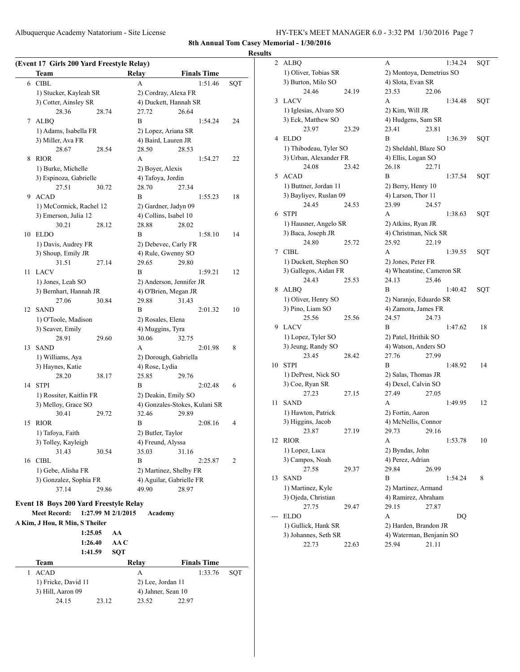Albuquerque Academy Natatorium - Site License HY-TEK's MEET MANAGER 6.0 - 3:32 PM 1/30/2016 Page 7

**8th Annual Tom Casey Memorial - 1/30/2016**

#### **Results**

| (Event 17 Girls 200 Yard Freestyle Relay) |                                                |                       |                               |     |  |
|-------------------------------------------|------------------------------------------------|-----------------------|-------------------------------|-----|--|
|                                           | Team                                           | Relay                 | <b>Finals Time</b>            |     |  |
| 6                                         | <b>CIBL</b>                                    | A                     | 1:51.46                       | SQT |  |
|                                           | 1) Stucker, Kayleah SR                         | 2) Cordray, Alexa FR  |                               |     |  |
|                                           | 3) Cotter, Ainsley SR                          |                       | 4) Duckett, Hannah SR         |     |  |
|                                           | 28.36<br>28.74                                 | 27.72                 | 26.64                         |     |  |
| 7                                         | <b>ALBQ</b>                                    | B                     | 1:54.24                       | 24  |  |
|                                           | 1) Adams, Isabella FR                          | 2) Lopez, Ariana SR   |                               |     |  |
|                                           | 3) Miller, Ava FR                              | 4) Baird, Lauren JR   |                               |     |  |
|                                           | 28.67<br>28.54                                 | 28.50                 | 28.53                         |     |  |
| 8                                         | <b>RIOR</b>                                    | A                     | 1:54.27                       | 22  |  |
|                                           | 1) Burke, Michelle                             | 2) Boyer, Alexis      |                               |     |  |
|                                           | 3) Espinoza, Gabrielle                         | 4) Tafoya, Jordin     |                               |     |  |
|                                           | 27.51<br>30.72                                 | 28.70                 | 27.34                         |     |  |
| 9                                         | <b>ACAD</b>                                    | B                     | 1:55.23                       | 18  |  |
|                                           | 1) McCormick, Rachel 12                        | 2) Gardner, Jadyn 09  |                               |     |  |
|                                           | 3) Emerson, Julia 12                           | 4) Collins, Isabel 10 |                               |     |  |
|                                           | 30.21<br>28.12                                 | 28.88                 | 28.02                         |     |  |
| 10                                        | <b>ELDO</b>                                    | B                     | 1:58.10                       | 14  |  |
|                                           | 1) Davis, Audrey FR                            |                       | 2) Debevec, Carly FR          |     |  |
|                                           | 3) Shoup, Emily JR                             | 4) Rule, Gwenny SO    |                               |     |  |
|                                           | 31.51<br>27.14                                 | 29.65                 | 29.80                         |     |  |
| 11                                        | LACV                                           | B                     | 1:59.21                       | 12  |  |
|                                           | 1) Jones, Leah SO                              |                       | 2) Anderson, Jennifer JR      |     |  |
|                                           | 3) Bernhart, Hannah JR                         |                       | 4) O'Brien, Megan JR          |     |  |
|                                           | 27.06<br>30.84                                 | 29.88                 | 31.43                         |     |  |
| 12                                        | <b>SAND</b>                                    | B                     | 2:01.32                       | 10  |  |
|                                           | 1) O'Toole, Madison                            | 2) Rosales, Elena     |                               |     |  |
|                                           | 3) Seaver, Emily                               | 4) Muggins, Tyra      |                               |     |  |
|                                           | 28.91<br>29.60                                 | 30.06                 | 32.75                         |     |  |
| 13                                        | <b>SAND</b>                                    | A                     | 2:01.98                       | 8   |  |
|                                           | 1) Williams, Aya                               |                       | 2) Dorough, Gabriella         |     |  |
|                                           | 3) Haynes, Katie<br>28.20                      | 4) Rose, Lydia        |                               |     |  |
| 14                                        | 38.17<br><b>STPI</b>                           | 25.85<br>B            | 29.76<br>2:02.48              | 6   |  |
|                                           |                                                | 2) Deakin, Emily SO   |                               |     |  |
|                                           | 1) Rossiter, Kaitlin FR<br>3) Melloy, Grace SO |                       | 4) Gonzales-Stokes, Kulani SR |     |  |
|                                           | 30.41<br>29.72                                 | 32.46                 | 29.89                         |     |  |
| 15                                        | <b>RIOR</b>                                    | B                     | 2:08.16                       | 4   |  |
|                                           | 1) Tafoya, Faith                               | 2) Butler, Taylor     |                               |     |  |
|                                           | 3) Tolley, Kayleigh                            | 4) Freund, Alyssa     |                               |     |  |
|                                           | 31.43<br>30.54                                 | 35.03                 | 31.16                         |     |  |
| 16                                        | <b>CIBL</b>                                    | B                     | 2:25.87                       | 2   |  |
|                                           | 1) Gebe, Alisha FR                             |                       | 2) Martinez, Shelby FR        |     |  |
|                                           | 3) Gonzalez, Sophia FR                         |                       | 4) Aguilar, Gabrielle FR      |     |  |
|                                           | 37.14<br>29.86                                 | 49.90                 | 28.97                         |     |  |
|                                           |                                                |                       |                               |     |  |
|                                           | <b>Event 18 Boys 200 Yard Freestyle Relay</b>  |                       |                               |     |  |
|                                           | <b>Meet Record:</b><br>1:27.99 M 2/1/2015      | Academy               |                               |     |  |
|                                           | A Kim, J Hou, R Min, S Theiler                 |                       |                               |     |  |
|                                           | 1:25.05<br>AA<br>1:26.40                       | AA C                  |                               |     |  |
|                                           | 1:41.59                                        | <b>SQT</b>            |                               |     |  |
|                                           | Team                                           | Relay                 | <b>Finals Time</b>            |     |  |
| 1                                         | <b>ACAD</b>                                    | А                     | 1:33.76                       | SQT |  |
|                                           | 1) Fricke, David 11                            | 2) Lee, Jordan 11     |                               |     |  |
|                                           | 3) Hill, Aaron 09                              | 4) Jahner, Sean 10    |                               |     |  |
|                                           | 24.15<br>23.12                                 | 23.52                 | 22.97                         |     |  |
|                                           |                                                |                       |                               |     |  |

| 2  | ALBQ                   |       | А                         |       | 1:34.24 | SQT |
|----|------------------------|-------|---------------------------|-------|---------|-----|
|    | 1) Oliver, Tobias SR   |       | 2) Montoya, Demetrius SO  |       |         |     |
|    | 3) Burton, Milo SO     |       | 4) Slota, Evan SR         |       |         |     |
|    | 24.46                  | 24.19 | 23.53                     | 22.06 |         |     |
| 3  | <b>LACV</b>            |       | А                         |       | 1:34.48 | SQT |
|    | 1) Iglesias, Alvaro SO |       | 2) Kim, Will JR           |       |         |     |
|    | 3) Eck, Matthew SO     |       | 4) Hudgens, Sam SR        |       |         |     |
|    | 23.97                  | 23.29 | 23.41                     | 23.81 |         |     |
| 4  | <b>ELDO</b>            |       | B                         |       | 1:36.39 | SQT |
|    | 1) Thibodeau, Tyler SO |       | 2) Sheldahl, Blaze SO     |       |         |     |
|    | 3) Urban, Alexander FR |       | 4) Ellis, Logan SO        |       |         |     |
|    | 24.08                  | 23.42 | 26.18                     | 22.71 |         |     |
| 5  | <b>ACAD</b>            |       | B                         |       | 1:37.54 | SQT |
|    | 1) Buttner, Jordan 11  |       | 2) Berry, Henry 10        |       |         |     |
|    | 3) Bayliyev, Ruslan 09 |       | 4) Larson, Thor 11        |       |         |     |
|    | 24.45                  | 24.53 | 23.99                     | 24.57 |         |     |
| 6  | <b>STPI</b>            |       | А                         |       | 1:38.63 | SQT |
|    | 1) Hausner, Angelo SR  |       | 2) Atkins, Ryan JR        |       |         |     |
|    | 3) Baca, Joseph JR     |       | 4) Christman, Nick SR     |       |         |     |
|    | 24.80                  | 25.72 | 25.92                     | 22.19 |         |     |
| 7  | <b>CIBL</b>            |       | А                         |       | 1:39.55 | SQT |
|    | 1) Duckett, Stephen SO |       | 2) Jones, Peter FR        |       |         |     |
|    | 3) Gallegos, Aidan FR  |       | 4) Wheatstine, Cameron SR |       |         |     |
|    | 24.43                  | 25.53 | 24.13                     | 25.46 |         |     |
| 8  | <b>ALBQ</b>            |       | B                         |       | 1:40.42 | SQT |
|    | 1) Oliver, Henry SO    |       | 2) Naranjo, Eduardo SR    |       |         |     |
|    | 3) Pino, Liam SO       |       | 4) Zamora, James FR       |       |         |     |
|    | 25.56                  | 25.56 | 24.57                     | 24.73 |         |     |
| 9  | <b>LACV</b>            |       | B                         |       | 1:47.62 | 18  |
|    | 1) Lopez, Tyler SO     |       | 2) Patel, Hrithik SO      |       |         |     |
|    | 3) Jeung, Randy SO     |       | 4) Watson, Anders SO      |       |         |     |
|    | 23.45                  | 28.42 | 27.76                     | 27.99 |         |     |
| 10 | <b>STPI</b>            |       | B                         |       | 1:48.92 | 14  |
|    | 1) DePrest, Nick SO    |       | 2) Salas, Thomas JR       |       |         |     |
|    | 3) Coe, Ryan SR        |       | 4) Dexel, Calvin SO       |       |         |     |
|    | 27.23                  | 27.15 | 27.49                     | 27.05 |         |     |
| 11 | <b>SAND</b>            |       | А                         |       | 1:49.95 | 12  |
|    | 1) Hawton, Patrick     |       | 2) Fortin, Aaron          |       |         |     |
|    | 3) Higgins, Jacob      |       | 4) McNellis, Connor       |       |         |     |
|    | 23.87                  | 27.19 | 29.73                     | 29.16 |         |     |
| 12 | <b>RIOR</b>            |       | A                         |       | 1:53.78 | 10  |
|    | 1) Lopez, Luca         |       | 2) Byndas, John           |       |         |     |
|    | 3) Campos, Noah        |       | 4) Perez, Adrian          |       |         |     |
|    | 27.58                  | 29.37 | 29.84                     | 26.99 |         |     |
| 13 | <b>SAND</b>            |       | B                         |       | 1:54.24 | 8   |
|    | 1) Martinez, Kyle      |       | 2) Martinez, Armand       |       |         |     |
|    | 3) Ojeda, Christian    |       | 4) Ramirez, Abraham       |       |         |     |
|    | 27.75                  | 29.47 | 29.15                     | 27.87 |         |     |
|    | ELDO                   |       | А                         |       | DQ      |     |
|    | 1) Gullick, Hank SR    |       | 2) Harden, Brandon JR     |       |         |     |
|    | 3) Johannes, Seth SR   |       | 4) Waterman, Benjanin SO  |       |         |     |
|    | 22.73                  | 22.63 | 25.94                     | 21.11 |         |     |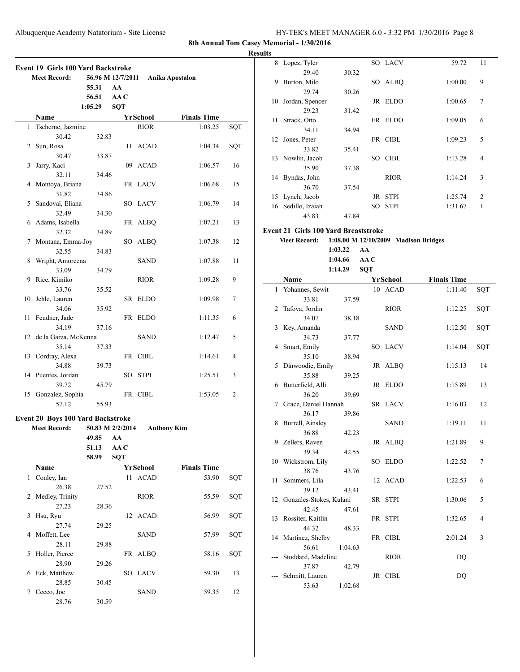**Results**

|    | <b>Event 19 Girls 100 Yard Backstroke</b><br><b>Meet Record:</b> |          | 56.96 M 12/7/2011 |             | Anika Apostalon    |     |
|----|------------------------------------------------------------------|----------|-------------------|-------------|--------------------|-----|
|    |                                                                  | 55.31    | AA                |             |                    |     |
|    |                                                                  | 56.51    | AA C              |             |                    |     |
|    |                                                                  |          |                   |             |                    |     |
|    |                                                                  | 1:05.29  | <b>SQT</b>        |             |                    |     |
|    | Name                                                             |          |                   | YrSchool    | <b>Finals Time</b> |     |
| 1  | Tscherne, Jazmine                                                |          |                   | <b>RIOR</b> | 1:03.25            | SQT |
|    | 30.42                                                            | 32.83    |                   |             |                    |     |
| 2  | Sun, Rosa                                                        |          |                   | 11 ACAD     | 1:04.34            | SQT |
|    | 30.47                                                            | 33.87    |                   |             |                    |     |
| 3  | Jarry, Kaci                                                      |          | 09                | ACAD        | 1:06.57            | 16  |
|    | 32.11                                                            | 34.46    |                   |             |                    |     |
| 4  | Montoya, Briana                                                  |          |                   | FR LACV     | 1:06.68            | 15  |
|    | 31.82                                                            | 34.86    |                   |             |                    |     |
|    |                                                                  |          |                   |             |                    |     |
| 5  | Sandoval, Eliana                                                 |          |                   | SO LACV     | 1:06.79            | 14  |
|    | 32.49                                                            | 34.30    |                   |             |                    |     |
| 6  | Adams, Isabella                                                  |          |                   | FR ALBQ     | 1:07.21            | 13  |
|    | 32.32                                                            | 34.89    |                   |             |                    |     |
| 7  | Montana, Emma-Joy                                                |          | SO                | <b>ALBQ</b> | 1:07.38            | 12  |
|    | 32.55                                                            | 34.83    |                   |             |                    |     |
| 8  | Wright, Amoreena                                                 |          |                   | SAND        | 1:07.88            | 11  |
|    | 33.09                                                            | 34.79    |                   |             |                    |     |
| 9  | Rice, Kimiko                                                     |          |                   | <b>RIOR</b> | 1:09.28            | 9   |
|    |                                                                  |          |                   |             |                    |     |
|    | 33.76                                                            | 35.52    |                   |             |                    |     |
| 10 | Jehle, Lauren                                                    |          |                   | SR ELDO     | 1:09.98            | 7   |
|    | 34.06                                                            | 35.92    |                   |             |                    |     |
| 11 | Feudner, Jade                                                    |          |                   | FR ELDO     | 1:11.35            | 6   |
|    | 34.19                                                            | 37.16    |                   |             |                    |     |
| 12 | de la Garza, McKenna                                             |          |                   | SAND        | 1:12.47            | 5   |
|    | 35.14                                                            | 37.33    |                   |             |                    |     |
| 13 | Cordray, Alexa                                                   |          |                   | FR CIBL     | 1:14.61            | 4   |
|    | 34.88                                                            | 39.73    |                   |             |                    |     |
|    |                                                                  |          |                   |             |                    |     |
|    | 14 Puentes, Jordan                                               |          |                   | SO STPI     | 1:25.51            | 3   |
|    | 39.72                                                            | 45.79    |                   |             |                    |     |
| 15 | Gonzalez, Sophia                                                 |          |                   | FR CIBL     | 1:53.05            | 2   |
|    | 57.12                                                            | 55.93    |                   |             |                    |     |
|    |                                                                  |          |                   |             |                    |     |
|    | Event 20 Boys 100 Yard Backstroke                                |          |                   |             |                    |     |
|    | <b>Meet Record:</b>                                              |          | 50.83 M 2/2/2014  |             | <b>Anthony Kim</b> |     |
|    |                                                                  | 49.85 AA |                   |             |                    |     |
|    |                                                                  | 51.13    | AA C              |             |                    |     |
|    |                                                                  | 58.99    | SQT               |             |                    |     |
|    | <b>Name</b>                                                      |          |                   | YrSchool    | <b>Finals Time</b> |     |
| 1  | Conley, Ian                                                      |          | 11                | ACAD        | 53.90              | SQT |
|    | 26.38                                                            | 27.52    |                   |             |                    |     |
| 2  | Medley, Trinity                                                  |          |                   | <b>RIOR</b> | 55.59              | SQT |
|    |                                                                  |          |                   |             |                    |     |
|    | 27.23                                                            | 28.36    |                   |             |                    |     |
| 3  | Hsu, Ryu                                                         |          | 12                | <b>ACAD</b> | 56.99              | SQT |
|    | 27.74                                                            | 29.25    |                   |             |                    |     |
| 4  | Moffett, Lee                                                     |          |                   | <b>SAND</b> | 57.99              | SQT |
|    | 28.11                                                            | 29.88    |                   |             |                    |     |
| 5  | Holler, Pierce                                                   |          |                   | FR ALBQ     | 58.16              | SQT |
|    | 28.90                                                            | 29.26    |                   |             |                    |     |
| 6  | Eck, Matthew                                                     |          | SO                | <b>LACV</b> | 59.30              | 13  |
|    | 28.85                                                            | 30.45    |                   |             |                    |     |
|    |                                                                  |          |                   | <b>SAND</b> |                    |     |
| 7  | Cecco, Joe                                                       |          |                   |             | 59.35              | 12  |
|    | 28.76                                                            | 30.59    |                   |             |                    |     |

| 8   | Lopez, Tyler                                |         |            | SO LACV                              | 59.72              | 11  |
|-----|---------------------------------------------|---------|------------|--------------------------------------|--------------------|-----|
|     | 29.40                                       | 30.32   |            |                                      |                    |     |
| 9   | Burton, Milo                                |         |            | SO ALBQ                              | 1:00.00            | 9   |
|     | 29.74                                       | 30.26   |            |                                      |                    |     |
| 10  | Jordan, Spencer                             |         |            | JR ELDO                              | 1:00.65            | 7   |
|     | 29.23                                       | 31.42   |            |                                      |                    |     |
| 11  | Strack, Otto                                |         |            | FR ELDO                              | 1:09.05            | 6   |
|     | 34.11                                       |         |            |                                      |                    |     |
|     |                                             | 34.94   |            |                                      |                    |     |
|     | 12 Jones, Peter                             |         |            | FR CIBL                              | 1:09.23            | 5   |
|     | 33.82                                       | 35.41   |            |                                      |                    |     |
|     | 13 Nowlin, Jacob                            |         |            | SO CIBL                              | 1:13.28            | 4   |
|     | 35.90                                       | 37.38   |            |                                      |                    |     |
|     | 14 Byndas, John                             |         |            | <b>RIOR</b>                          | 1:14.24            | 3   |
|     | 36.70                                       | 37.54   |            |                                      |                    |     |
|     | 15 Lynch, Jacob                             |         |            | JR STPI                              | 1:25.74            | 2   |
|     | 16 Sedillo, Izaiah                          |         |            | SO STPI                              | 1:31.67            | 1   |
|     | 43.83                                       | 47.84   |            |                                      |                    |     |
|     |                                             |         |            |                                      |                    |     |
|     | <b>Event 21 Girls 100 Yard Breaststroke</b> |         |            |                                      |                    |     |
|     | <b>Meet Record:</b>                         |         |            | 1:08.00 M 12/10/2009 Madison Bridges |                    |     |
|     |                                             | 1:03.22 | AA         |                                      |                    |     |
|     |                                             | 1:04.66 | AAC        |                                      |                    |     |
|     |                                             | 1:14.29 | <b>SQT</b> |                                      |                    |     |
|     | Name                                        |         |            | YrSchool                             | <b>Finals Time</b> |     |
| 1   | Yohannes, Sewit                             |         |            | 10 ACAD                              | 1:11.40            | SQT |
|     | 33.81                                       | 37.59   |            |                                      |                    |     |
| 2   | Tafoya, Jordin                              |         |            | <b>RIOR</b>                          | 1:12.25            | SQT |
|     | 34.07                                       | 38.18   |            |                                      |                    |     |
|     | 3 Key, Amanda                               |         |            | SAND                                 | 1:12.50            | SQT |
|     | 34.73                                       | 37.77   |            |                                      |                    |     |
|     | 4 Smart, Emily                              |         |            | SO LACV                              | 1:14.04            | SQT |
|     | 35.10                                       | 38.94   |            |                                      |                    |     |
| 5   | Dinwoodie, Emily                            |         | JR         | ALBQ                                 | 1:15.13            | 14  |
|     |                                             |         |            |                                      |                    |     |
|     | 35.88                                       | 39.25   |            |                                      |                    |     |
|     | 6 Butterfield, Alli                         |         |            | JR ELDO                              | 1:15.89            | 13  |
|     | 36.20                                       | 39.69   |            |                                      |                    |     |
|     | 7 Grace, Daniel Hannah                      |         |            | SR LACV                              | 1:16.03            | 12  |
|     | 36.17                                       | 39.86   |            |                                      |                    |     |
| 8   | Burrell, Ainsley                            |         |            | <b>SAND</b>                          | 1:19.11            | 11  |
|     | 36.88                                       | 42.23   |            |                                      |                    |     |
|     | 9 Zellers, Raven                            |         |            | JR ALBQ                              | 1:21.89            | 9   |
|     | 39.34                                       | 42.55   |            |                                      |                    |     |
| 10  | Wickstrom, Lily                             |         |            | SO ELDO                              | 1:22.52            | 7   |
|     | 38.76                                       | 43.76   |            |                                      |                    |     |
| 11  | Sommers, Lila                               |         |            | 12 ACAD                              | 1:22.53            | 6   |
|     | 39.12                                       | 43.41   |            |                                      |                    |     |
| 12  | Gonzales-Stokes, Kulani                     |         |            | SR STPI                              | 1:30.06            | 5   |
|     | 42.45                                       | 47.61   |            |                                      |                    |     |
| 13  | Rossiter, Kaitlin                           |         | FR         | STPI                                 | 1:32.65            | 4   |
|     | 44.32                                       | 48.33   |            |                                      |                    |     |
| 14  | Martinez, Shelby                            |         |            | FR CIBL                              | 2:01.24            | 3   |
|     | 56.61                                       | 1:04.63 |            |                                      |                    |     |
| --- | Stoddard, Madeline                          |         |            | <b>RIOR</b>                          | <b>DQ</b>          |     |
|     | 37.87                                       | 42.79   |            |                                      |                    |     |
|     | Schmitt, Lauren                             |         |            | JR CIBL                              | DQ                 |     |
|     | 53.63                                       | 1:02.68 |            |                                      |                    |     |
|     |                                             |         |            |                                      |                    |     |
|     |                                             |         |            |                                      |                    |     |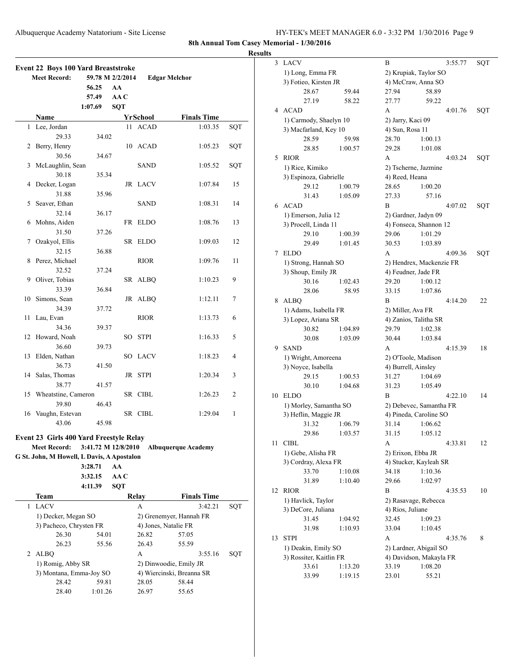| HY-TEK's MEET MANAGER 6.0 - 3:32 PM 1/30/2016 Page 9 |  |  |  |
|------------------------------------------------------|--|--|--|
|------------------------------------------------------|--|--|--|

**Results**

| <b>Meet Record:</b><br>59.78 M 2/2/2014<br><b>Edgar Melchor</b><br>56.25<br>AA<br>AA C<br>57.49<br>1:07.69<br><b>SQT</b><br>Name<br><b>Finals Time</b><br>YrSchool<br>11 ACAD<br>Lee, Jordan<br>1:03.35<br>1<br>29.33<br>34.02<br>Berry, Henry<br>10 ACAD<br>1:05.23<br>2<br>30.56<br>34.67<br>McLaughlin, Sean<br>SAND<br>1:05.52<br>3<br>30.18<br>35.34<br>4<br>Decker, Logan<br>JR LACV<br>1:07.84<br>31.88<br>35.96<br>Seaver, Ethan<br>5<br>SAND<br>1:08.31<br>32.14<br>36.17<br>Mohns, Aiden<br>FR ELDO<br>1:08.76<br>6<br>31.50<br>37.26<br>Ozakyol, Ellis<br>SR ELDO<br>7<br>1:09.03<br>32.15<br>36.88<br>Perez, Michael<br><b>RIOR</b><br>1:09.76<br>8<br>32.52<br>37.24<br>Oliver, Tobias<br>9<br>SR ALBQ<br>1:10.23<br>33.39<br>36.84<br>10<br>Simons, Sean<br>JR ALBQ<br>1:12.11<br>34.39<br>37.72<br><b>RIOR</b><br>11<br>Lau, Evan<br>1:13.73<br>34.36<br>39.37<br>Howard, Noah<br>12<br>SO<br><b>STPI</b><br>1:16.33<br>36.60<br>39.73<br>Elden, Nathan<br>13<br>SO LACV<br>1:18.23<br>36.73<br>41.50<br>Salas, Thomas<br>14<br>JR STPI<br>1:20.34<br>38.77<br>41.57<br>Wheatstine, Cameron<br>SR CIBL<br>15<br>1:26.23<br>39.80<br>46.43<br>16 Vaughn, Estevan<br>SR CIBL<br>1:29.04 | SQT<br>SQT<br>SQT<br>15<br>14<br>13<br>12<br>11<br>9<br>7<br>6 |
|------------------------------------------------------------------------------------------------------------------------------------------------------------------------------------------------------------------------------------------------------------------------------------------------------------------------------------------------------------------------------------------------------------------------------------------------------------------------------------------------------------------------------------------------------------------------------------------------------------------------------------------------------------------------------------------------------------------------------------------------------------------------------------------------------------------------------------------------------------------------------------------------------------------------------------------------------------------------------------------------------------------------------------------------------------------------------------------------------------------------------------------------------------------------------------------------------|----------------------------------------------------------------|
|                                                                                                                                                                                                                                                                                                                                                                                                                                                                                                                                                                                                                                                                                                                                                                                                                                                                                                                                                                                                                                                                                                                                                                                                      |                                                                |
|                                                                                                                                                                                                                                                                                                                                                                                                                                                                                                                                                                                                                                                                                                                                                                                                                                                                                                                                                                                                                                                                                                                                                                                                      |                                                                |
|                                                                                                                                                                                                                                                                                                                                                                                                                                                                                                                                                                                                                                                                                                                                                                                                                                                                                                                                                                                                                                                                                                                                                                                                      |                                                                |
|                                                                                                                                                                                                                                                                                                                                                                                                                                                                                                                                                                                                                                                                                                                                                                                                                                                                                                                                                                                                                                                                                                                                                                                                      |                                                                |
|                                                                                                                                                                                                                                                                                                                                                                                                                                                                                                                                                                                                                                                                                                                                                                                                                                                                                                                                                                                                                                                                                                                                                                                                      |                                                                |
|                                                                                                                                                                                                                                                                                                                                                                                                                                                                                                                                                                                                                                                                                                                                                                                                                                                                                                                                                                                                                                                                                                                                                                                                      |                                                                |
|                                                                                                                                                                                                                                                                                                                                                                                                                                                                                                                                                                                                                                                                                                                                                                                                                                                                                                                                                                                                                                                                                                                                                                                                      |                                                                |
|                                                                                                                                                                                                                                                                                                                                                                                                                                                                                                                                                                                                                                                                                                                                                                                                                                                                                                                                                                                                                                                                                                                                                                                                      |                                                                |
|                                                                                                                                                                                                                                                                                                                                                                                                                                                                                                                                                                                                                                                                                                                                                                                                                                                                                                                                                                                                                                                                                                                                                                                                      |                                                                |
|                                                                                                                                                                                                                                                                                                                                                                                                                                                                                                                                                                                                                                                                                                                                                                                                                                                                                                                                                                                                                                                                                                                                                                                                      |                                                                |
|                                                                                                                                                                                                                                                                                                                                                                                                                                                                                                                                                                                                                                                                                                                                                                                                                                                                                                                                                                                                                                                                                                                                                                                                      |                                                                |
|                                                                                                                                                                                                                                                                                                                                                                                                                                                                                                                                                                                                                                                                                                                                                                                                                                                                                                                                                                                                                                                                                                                                                                                                      |                                                                |
|                                                                                                                                                                                                                                                                                                                                                                                                                                                                                                                                                                                                                                                                                                                                                                                                                                                                                                                                                                                                                                                                                                                                                                                                      |                                                                |
|                                                                                                                                                                                                                                                                                                                                                                                                                                                                                                                                                                                                                                                                                                                                                                                                                                                                                                                                                                                                                                                                                                                                                                                                      |                                                                |
|                                                                                                                                                                                                                                                                                                                                                                                                                                                                                                                                                                                                                                                                                                                                                                                                                                                                                                                                                                                                                                                                                                                                                                                                      |                                                                |
|                                                                                                                                                                                                                                                                                                                                                                                                                                                                                                                                                                                                                                                                                                                                                                                                                                                                                                                                                                                                                                                                                                                                                                                                      |                                                                |
|                                                                                                                                                                                                                                                                                                                                                                                                                                                                                                                                                                                                                                                                                                                                                                                                                                                                                                                                                                                                                                                                                                                                                                                                      |                                                                |
|                                                                                                                                                                                                                                                                                                                                                                                                                                                                                                                                                                                                                                                                                                                                                                                                                                                                                                                                                                                                                                                                                                                                                                                                      |                                                                |
|                                                                                                                                                                                                                                                                                                                                                                                                                                                                                                                                                                                                                                                                                                                                                                                                                                                                                                                                                                                                                                                                                                                                                                                                      |                                                                |
|                                                                                                                                                                                                                                                                                                                                                                                                                                                                                                                                                                                                                                                                                                                                                                                                                                                                                                                                                                                                                                                                                                                                                                                                      |                                                                |
|                                                                                                                                                                                                                                                                                                                                                                                                                                                                                                                                                                                                                                                                                                                                                                                                                                                                                                                                                                                                                                                                                                                                                                                                      |                                                                |
|                                                                                                                                                                                                                                                                                                                                                                                                                                                                                                                                                                                                                                                                                                                                                                                                                                                                                                                                                                                                                                                                                                                                                                                                      |                                                                |
|                                                                                                                                                                                                                                                                                                                                                                                                                                                                                                                                                                                                                                                                                                                                                                                                                                                                                                                                                                                                                                                                                                                                                                                                      |                                                                |
|                                                                                                                                                                                                                                                                                                                                                                                                                                                                                                                                                                                                                                                                                                                                                                                                                                                                                                                                                                                                                                                                                                                                                                                                      |                                                                |
|                                                                                                                                                                                                                                                                                                                                                                                                                                                                                                                                                                                                                                                                                                                                                                                                                                                                                                                                                                                                                                                                                                                                                                                                      |                                                                |
|                                                                                                                                                                                                                                                                                                                                                                                                                                                                                                                                                                                                                                                                                                                                                                                                                                                                                                                                                                                                                                                                                                                                                                                                      |                                                                |
|                                                                                                                                                                                                                                                                                                                                                                                                                                                                                                                                                                                                                                                                                                                                                                                                                                                                                                                                                                                                                                                                                                                                                                                                      |                                                                |
|                                                                                                                                                                                                                                                                                                                                                                                                                                                                                                                                                                                                                                                                                                                                                                                                                                                                                                                                                                                                                                                                                                                                                                                                      |                                                                |
|                                                                                                                                                                                                                                                                                                                                                                                                                                                                                                                                                                                                                                                                                                                                                                                                                                                                                                                                                                                                                                                                                                                                                                                                      | 5                                                              |
|                                                                                                                                                                                                                                                                                                                                                                                                                                                                                                                                                                                                                                                                                                                                                                                                                                                                                                                                                                                                                                                                                                                                                                                                      |                                                                |
|                                                                                                                                                                                                                                                                                                                                                                                                                                                                                                                                                                                                                                                                                                                                                                                                                                                                                                                                                                                                                                                                                                                                                                                                      | 4                                                              |
|                                                                                                                                                                                                                                                                                                                                                                                                                                                                                                                                                                                                                                                                                                                                                                                                                                                                                                                                                                                                                                                                                                                                                                                                      |                                                                |
|                                                                                                                                                                                                                                                                                                                                                                                                                                                                                                                                                                                                                                                                                                                                                                                                                                                                                                                                                                                                                                                                                                                                                                                                      | 3                                                              |
|                                                                                                                                                                                                                                                                                                                                                                                                                                                                                                                                                                                                                                                                                                                                                                                                                                                                                                                                                                                                                                                                                                                                                                                                      |                                                                |
|                                                                                                                                                                                                                                                                                                                                                                                                                                                                                                                                                                                                                                                                                                                                                                                                                                                                                                                                                                                                                                                                                                                                                                                                      | 2                                                              |
|                                                                                                                                                                                                                                                                                                                                                                                                                                                                                                                                                                                                                                                                                                                                                                                                                                                                                                                                                                                                                                                                                                                                                                                                      |                                                                |
|                                                                                                                                                                                                                                                                                                                                                                                                                                                                                                                                                                                                                                                                                                                                                                                                                                                                                                                                                                                                                                                                                                                                                                                                      | 1                                                              |
| 43.06                                                                                                                                                                                                                                                                                                                                                                                                                                                                                                                                                                                                                                                                                                                                                                                                                                                                                                                                                                                                                                                                                                                                                                                                |                                                                |
| 45.98                                                                                                                                                                                                                                                                                                                                                                                                                                                                                                                                                                                                                                                                                                                                                                                                                                                                                                                                                                                                                                                                                                                                                                                                |                                                                |
| Event 23 Girls 400 Yard Freestyle Relay                                                                                                                                                                                                                                                                                                                                                                                                                                                                                                                                                                                                                                                                                                                                                                                                                                                                                                                                                                                                                                                                                                                                                              |                                                                |
| 3:41.72 M 12/8/2010<br><b>Meet Record:</b><br><b>Albuquerque Academy</b>                                                                                                                                                                                                                                                                                                                                                                                                                                                                                                                                                                                                                                                                                                                                                                                                                                                                                                                                                                                                                                                                                                                             |                                                                |
| G St. John, M Howell, L Davis, A Apostalon                                                                                                                                                                                                                                                                                                                                                                                                                                                                                                                                                                                                                                                                                                                                                                                                                                                                                                                                                                                                                                                                                                                                                           |                                                                |
| 3:28.71<br>AA                                                                                                                                                                                                                                                                                                                                                                                                                                                                                                                                                                                                                                                                                                                                                                                                                                                                                                                                                                                                                                                                                                                                                                                        |                                                                |
| 3:32.15<br>AA C                                                                                                                                                                                                                                                                                                                                                                                                                                                                                                                                                                                                                                                                                                                                                                                                                                                                                                                                                                                                                                                                                                                                                                                      |                                                                |
| <b>SQT</b><br>4:11.39                                                                                                                                                                                                                                                                                                                                                                                                                                                                                                                                                                                                                                                                                                                                                                                                                                                                                                                                                                                                                                                                                                                                                                                |                                                                |
| <b>Finals Time</b><br>Team<br>Relay                                                                                                                                                                                                                                                                                                                                                                                                                                                                                                                                                                                                                                                                                                                                                                                                                                                                                                                                                                                                                                                                                                                                                                  |                                                                |
| <b>LACV</b><br>1<br>A<br>3:42.21                                                                                                                                                                                                                                                                                                                                                                                                                                                                                                                                                                                                                                                                                                                                                                                                                                                                                                                                                                                                                                                                                                                                                                     | SOT                                                            |
| 1) Decker, Megan SO<br>2) Grenemyer, Hannah FR                                                                                                                                                                                                                                                                                                                                                                                                                                                                                                                                                                                                                                                                                                                                                                                                                                                                                                                                                                                                                                                                                                                                                       |                                                                |
| 3) Pacheco, Chrysten FR<br>4) Jones, Natalie FR                                                                                                                                                                                                                                                                                                                                                                                                                                                                                                                                                                                                                                                                                                                                                                                                                                                                                                                                                                                                                                                                                                                                                      |                                                                |
| 26.30<br>54.01<br>26.82<br>57.05                                                                                                                                                                                                                                                                                                                                                                                                                                                                                                                                                                                                                                                                                                                                                                                                                                                                                                                                                                                                                                                                                                                                                                     |                                                                |
| 55.59<br>26.23<br>55.56<br>26.43                                                                                                                                                                                                                                                                                                                                                                                                                                                                                                                                                                                                                                                                                                                                                                                                                                                                                                                                                                                                                                                                                                                                                                     |                                                                |
| A<br>2<br><b>ALBQ</b><br>3:55.16                                                                                                                                                                                                                                                                                                                                                                                                                                                                                                                                                                                                                                                                                                                                                                                                                                                                                                                                                                                                                                                                                                                                                                     |                                                                |
|                                                                                                                                                                                                                                                                                                                                                                                                                                                                                                                                                                                                                                                                                                                                                                                                                                                                                                                                                                                                                                                                                                                                                                                                      |                                                                |
| 1) Romig, Abby SR<br>2) Dinwoodie, Emily JR<br>3) Montana, Emma-Joy SO<br>4) Wiercinski, Breanna SR                                                                                                                                                                                                                                                                                                                                                                                                                                                                                                                                                                                                                                                                                                                                                                                                                                                                                                                                                                                                                                                                                                  | SQT                                                            |
|                                                                                                                                                                                                                                                                                                                                                                                                                                                                                                                                                                                                                                                                                                                                                                                                                                                                                                                                                                                                                                                                                                                                                                                                      |                                                                |
|                                                                                                                                                                                                                                                                                                                                                                                                                                                                                                                                                                                                                                                                                                                                                                                                                                                                                                                                                                                                                                                                                                                                                                                                      |                                                                |
| 28.42<br>59.81<br>28.05<br>58.44<br>28.40<br>1:01.26<br>26.97<br>55.65                                                                                                                                                                                                                                                                                                                                                                                                                                                                                                                                                                                                                                                                                                                                                                                                                                                                                                                                                                                                                                                                                                                               |                                                                |

| 3  | <b>LACV</b>                 |                  | В                   |                                                 | 3:55.77 | SQT |
|----|-----------------------------|------------------|---------------------|-------------------------------------------------|---------|-----|
|    | 1) Long, Emma FR            |                  |                     | 2) Krupiak, Taylor SO                           |         |     |
|    | 3) Fotieo, Kirsten JR       |                  |                     | 4) McCraw, Anna SO                              |         |     |
|    | 28.67                       | 59.44            | 27.94               | 58.89                                           |         |     |
|    | 27.19                       | 58.22            | 27.77               | 59.22                                           |         |     |
| 4  | <b>ACAD</b>                 |                  | A                   |                                                 | 4:01.76 | SQT |
|    | 1) Carmody, Shaelyn 10      |                  | 2) Jarry, Kaci 09   |                                                 |         |     |
|    | 3) Macfarland, Key 10       |                  | 4) Sun, Rosa 11     |                                                 |         |     |
|    | 28.59                       | 59.98            | 28.70               | 1:00.13                                         |         |     |
|    | 28.85                       | 1:00.57          | 29.28               | 1:01.08                                         |         |     |
| 5  | <b>RIOR</b>                 |                  | A                   |                                                 | 4:03.24 | SQT |
|    | 1) Rice, Kimiko             |                  |                     | 2) Tscherne, Jazmine                            |         |     |
|    | 3) Espinoza, Gabrielle      |                  | 4) Reed, Heana      |                                                 |         |     |
|    | 29.12                       | 1:00.79          | 28.65               | 1:00.20                                         |         |     |
|    | 31.43                       | 1:05.09          | 27.33               | 57.16                                           |         |     |
|    | 6 ACAD                      |                  | В                   |                                                 | 4:07.02 | SQT |
|    | 1) Emerson, Julia 12        |                  |                     | 2) Gardner, Jadyn 09                            |         |     |
|    | 3) Procell, Linda 11        |                  |                     | 4) Fonseca, Shannon 12                          |         |     |
|    | 29.10                       | 1:00.39          | 29.06               | 1:01.29                                         |         |     |
|    | 29.49                       | 1:01.45          | 30.53               | 1:03.89                                         |         |     |
| 7  | <b>ELDO</b>                 |                  | A                   |                                                 | 4:09.36 | SQT |
|    |                             |                  |                     |                                                 |         |     |
|    | 1) Strong, Hannah SO        |                  |                     | 2) Hendrex, Mackenzie FR<br>4) Feudner, Jade FR |         |     |
|    | 3) Shoup, Emily JR<br>30.16 |                  |                     |                                                 |         |     |
|    | 28.06                       | 1:02.43<br>58.95 | 29.20<br>33.15      | 1:00.12<br>1:07.86                              |         |     |
|    |                             |                  |                     |                                                 |         |     |
| 8  | <b>ALBQ</b>                 |                  | B                   |                                                 | 4:14.20 | 22  |
|    | 1) Adams, Isabella FR       |                  | 2) Miller, Ava FR   |                                                 |         |     |
|    | 3) Lopez, Ariana SR         |                  |                     | 4) Zanios, Talitha SR                           |         |     |
|    | 30.82                       | 1:04.89          | 29.79               | 1:02.38                                         |         |     |
|    | 30.08                       | 1:03.09          | 30.44               | 1:03.84                                         |         |     |
| 9. | <b>SAND</b>                 |                  | A                   |                                                 | 4:15.39 | 18  |
|    | 1) Wright, Amoreena         |                  |                     | 2) O'Toole, Madison                             |         |     |
|    | 3) Noyce, Isabella          |                  | 4) Burrell, Ainsley |                                                 |         |     |
|    | 29.15                       | 1:00.53          | 31.27               | 1:04.69                                         |         |     |
|    | 30.10                       | 1:04.68          | 31.23               | 1:05.49                                         |         |     |
| 10 | <b>ELDO</b>                 |                  | B                   |                                                 | 4:22.10 | 14  |
|    | 1) Morley, Samantha SO      |                  |                     | 2) Debevec, Samantha FR                         |         |     |
|    | 3) Heflin, Maggie JR        |                  |                     | 4) Pineda, Caroline SO                          |         |     |
|    | 31.32                       | 1:06.79          | 31.14               | 1:06.62                                         |         |     |
|    | 29.86                       | 1:03.57          | 31.15               | 1:05.12                                         |         |     |
| 11 | CIBL                        |                  | А                   |                                                 | 4:33.81 | 12  |
|    | 1) Gebe, Alisha FR          |                  |                     | 2) Erixon, Ebba JR                              |         |     |
|    | 3) Cordray, Alexa FR        |                  |                     | 4) Stucker, Kayleah SR                          |         |     |
|    | 33.70                       | 1:10.08          | 34.18               | 1:10.36                                         |         |     |
|    | 31.89                       | 1:10.40          | 29.66               | 1:02.97                                         |         |     |
| 12 | <b>RIOR</b>                 |                  | B                   |                                                 | 4:35.53 | 10  |
|    | 1) Havlick, Taylor          |                  |                     | 2) Rasavage, Rebecca                            |         |     |
|    | 3) DeCore, Juliana          |                  | 4) Rios, Juliane    |                                                 |         |     |
|    | 31.45                       | 1:04.92          | 32.45               | 1:09.23                                         |         |     |
|    | 31.98                       | 1:10.93          | 33.04               | 1:10.45                                         |         |     |
| 13 | <b>STPI</b>                 |                  | A                   |                                                 | 4:35.76 | 8   |
|    | 1) Deakin, Emily SO         |                  |                     | 2) Lardner, Abigail SO                          |         |     |
|    | 3) Rossiter, Kaitlin FR     |                  |                     | 4) Davidson, Makayla FR                         |         |     |
|    | 33.61                       | 1:13.20          | 33.19               | 1:08.20                                         |         |     |
|    | 33.99                       | 1:19.15          | 23.01               | 55.21                                           |         |     |
|    |                             |                  |                     |                                                 |         |     |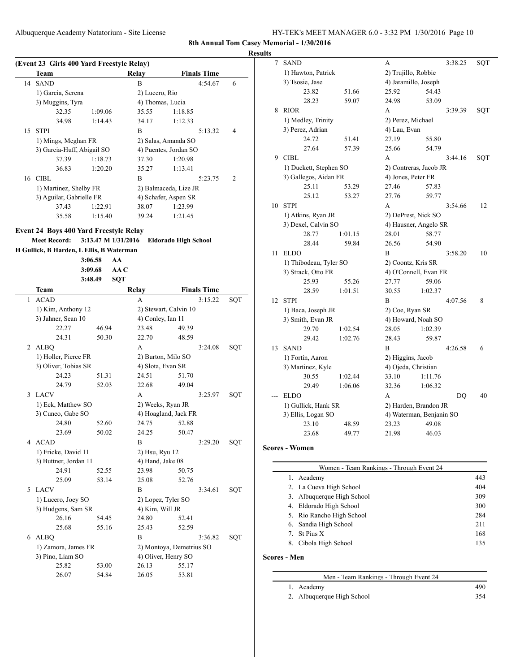**Results**

|    | (Event 23 Girls 400 Yard Freestyle Relay) |         |                  |                       |                |
|----|-------------------------------------------|---------|------------------|-----------------------|----------------|
|    | Team                                      |         | Relay            | <b>Finals Time</b>    |                |
| 14 | <b>SAND</b>                               |         | B                | 4:54.67               | 6              |
|    | 1) Garcia, Serena                         |         | 2) Lucero, Rio   |                       |                |
|    | 3) Muggins, Tyra                          |         | 4) Thomas, Lucia |                       |                |
|    | 32.35                                     | 1:09.06 | 35.55            | 1:18.85               |                |
|    | 34.98                                     | 1:14.43 | 34.17            | 1:12.33               |                |
| 15 | <b>STPI</b>                               |         | B                | 5:13.32               | 4              |
|    | 1) Mings, Meghan FR                       |         |                  | 2) Salas, Amanda SO   |                |
|    | 3) Garcia-Huff, Abigail SO                |         |                  | 4) Puentes, Jordan SO |                |
|    | 37.39                                     | 1:18.73 | 37.30            | 1:20.98               |                |
|    | 36.83                                     | 1:20.20 | 35.27            | 1:13.41               |                |
|    | 16 CIBL                                   |         | B                | 5:23.75               | $\overline{c}$ |
|    | 1) Martinez, Shelby FR                    |         |                  | 2) Balmaceda, Lize JR |                |
|    | 3) Aguilar, Gabrielle FR                  |         |                  | 4) Schafer, Aspen SR  |                |
|    | 37.43                                     | 1:22.91 | 38.07            | 1:23.99               |                |
|    | 35.58                                     | 1:15.40 | 39.24            | 1:21.45               |                |

#### **Event 24 Boys 400 Yard Freestyle Relay**

**H Gullick, B Harden, L Ellis, B Waterman**

|    |                       | 3:06.58 | AA         |                    |                          |                    |     |
|----|-----------------------|---------|------------|--------------------|--------------------------|--------------------|-----|
|    |                       | 3:09.68 | AA         |                    |                          |                    |     |
|    |                       | 3:48.49 | <b>SQT</b> |                    |                          |                    |     |
|    | Team                  |         |            | Relay              |                          | <b>Finals Time</b> |     |
| 1  | <b>ACAD</b>           |         |            | A                  |                          | 3:15.22            | SQT |
|    | 1) Kim, Anthony 12    |         |            |                    | 2) Stewart, Calvin 10    |                    |     |
|    | 3) Jahner, Sean 10    |         |            | 4) Conley, Ian 11  |                          |                    |     |
|    | 22.27                 | 46.94   |            | 23.48              | 49.39                    |                    |     |
|    | 24.31                 | 50.30   |            | 22.70              | 48.59                    |                    |     |
| 2  | <b>ALBQ</b>           |         |            | A                  |                          | 3:24.08            | SQT |
|    | 1) Holler, Pierce FR  |         |            | 2) Burton, Milo SO |                          |                    |     |
|    | 3) Oliver, Tobias SR  |         |            | 4) Slota, Evan SR  |                          |                    |     |
|    | 24.23                 | 51.31   |            | 24.51              | 51.70                    |                    |     |
|    | 24.79                 | 52.03   |            | 22.68              | 49.04                    |                    |     |
| 3  | <b>LACV</b>           |         |            | A                  |                          | 3:25.97            | SQT |
|    | 1) Eck, Matthew SO    |         |            | 2) Weeks, Ryan JR  |                          |                    |     |
|    | 3) Cuneo, Gabe SO     |         |            |                    | 4) Hoagland, Jack FR     |                    |     |
|    | 24.80                 | 52.60   |            | 24.75              | 52.88                    |                    |     |
|    | 23.69                 | 50.02   |            | 24.25              | 50.47                    |                    |     |
|    | 4 ACAD                |         |            | B                  |                          | 3:29.20            | SQT |
|    | 1) Fricke, David 11   |         |            | 2) Hsu, Ryu 12     |                          |                    |     |
|    | 3) Buttner, Jordan 11 |         |            | 4) Hand, Jake 08   |                          |                    |     |
|    | 24.91                 | 52.55   |            | 23.98              | 50.75                    |                    |     |
|    | 25.09                 | 53.14   |            | 25.08              | 52.76                    |                    |     |
| 5. | <b>LACV</b>           |         |            | B                  |                          | 3:34.61            | SQT |
|    | 1) Lucero, Joey SO    |         |            | 2) Lopez, Tyler SO |                          |                    |     |
|    | 3) Hudgens, Sam SR    |         |            | 4) Kim, Will JR    |                          |                    |     |
|    | 26.16                 | 54.45   |            | 24.80              | 52.41                    |                    |     |
|    | 25.68                 | 55.16   |            | 25.43              | 52.59                    |                    |     |
|    | 6 ALBQ                |         |            | B                  |                          | 3:36.82            | SQT |
|    | 1) Zamora, James FR   |         |            |                    | 2) Montoya, Demetrius SO |                    |     |
|    | 3) Pino, Liam SO      |         |            |                    | 4) Oliver, Henry SO      |                    |     |
|    | 25.82                 | 53.00   |            | 26.13              | 55.17                    |                    |     |
|    | 26.07                 | 54.84   |            | 26.05              | 53.81                    |                    |     |

| $\overline{\mathcal{I}}$ | SAND                   |         | A                   |                          | 3:38.25 | SQT |
|--------------------------|------------------------|---------|---------------------|--------------------------|---------|-----|
|                          | 1) Hawton, Patrick     |         | 2) Trujillo, Robbie |                          |         |     |
|                          | 3) Tsosie, Jase        |         |                     | 4) Jaramillo, Joseph     |         |     |
|                          | 23.82                  | 51.66   | 25.92               | 54.43                    |         |     |
|                          | 28.23                  | 59.07   | 24.98               | 53.09                    |         |     |
| 8                        | <b>RIOR</b>            |         | А                   |                          | 3:39.39 | SQT |
|                          | 1) Medley, Trinity     |         | 2) Perez, Michael   |                          |         |     |
|                          | 3) Perez, Adrian       |         | 4) Lau, Evan        |                          |         |     |
|                          | 24.72                  | 51.41   | 27.19               | 55.80                    |         |     |
|                          | 27.64                  | 57.39   | 25.66               | 54.79                    |         |     |
| 9                        | <b>CIBL</b>            |         | A                   |                          | 3:44.16 | SQT |
|                          | 1) Duckett, Stephen SO |         |                     | 2) Contreras, Jacob JR   |         |     |
|                          | 3) Gallegos, Aidan FR  |         | 4) Jones, Peter FR  |                          |         |     |
|                          | 25.11                  | 53.29   | 27.46               | 57.83                    |         |     |
|                          | 25.12                  | 53.27   | 27.76               | 59.77                    |         |     |
| 10                       | <b>STPI</b>            |         | A                   |                          | 3:54.66 | 12  |
|                          | 1) Atkins, Ryan JR     |         |                     | 2) DePrest, Nick SO      |         |     |
|                          | 3) Dexel, Calvin SO    |         |                     | 4) Hausner, Angelo SR    |         |     |
|                          | 28.77                  | 1:01.15 | 28.01               | 58.77                    |         |     |
|                          | 28.44                  | 59.84   | 26.56               | 54.90                    |         |     |
| 11                       | <b>ELDO</b>            |         | B                   |                          | 3:58.20 | 10  |
|                          | 1) Thibodeau, Tyler SO |         | 2) Coontz, Kris SR  |                          |         |     |
|                          | 3) Strack, Otto FR     |         |                     | 4) O'Connell, Evan FR    |         |     |
|                          | 25.93                  | 55.26   | 27.77               | 59.06                    |         |     |
|                          | 28.59                  | 1:01.51 | 30.55               | 1:02.37                  |         |     |
| 12                       | <b>STPI</b>            |         | B                   |                          | 4:07.56 | 8   |
|                          | 1) Baca, Joseph JR     |         | 2) Coe, Ryan SR     |                          |         |     |
|                          | 3) Smith, Evan JR      |         |                     | 4) Howard, Noah SO       |         |     |
|                          | 29.70                  | 1:02.54 | 28.05               | 1:02.39                  |         |     |
|                          | 29.42                  | 1:02.76 | 28.43               | 59.87                    |         |     |
| 13                       | <b>SAND</b>            |         | B                   |                          | 4:26.58 | 6   |
|                          | 1) Fortin, Aaron       |         | 2) Higgins, Jacob   |                          |         |     |
|                          | 3) Martinez, Kyle      |         | 4) Ojeda, Christian |                          |         |     |
|                          | 30.55                  | 1:02.44 | 33.10               | 1:11.76                  |         |     |
|                          | 29.49                  | 1:06.06 | 32.36               | 1:06.32                  |         |     |
|                          | <b>ELDO</b>            |         | A                   |                          | DO      | 40  |
|                          | 1) Gullick, Hank SR    |         |                     | 2) Harden, Brandon JR    |         |     |
|                          | 3) Ellis, Logan SO     |         |                     | 4) Waterman, Benjanin SO |         |     |
|                          | 23.10                  | 48.59   | 23.23               | 49.08                    |         |     |
|                          | 23.68                  | 49.77   | 21.98               | 46.03                    |         |     |

#### **Scores - Women**

|    | Women - Team Rankings - Through Event 24 |     |
|----|------------------------------------------|-----|
| 1. | Academy                                  | 443 |
|    | 2. La Cueva High School                  | 404 |
|    | 3. Albuquerque High School               | 309 |
|    | 4. Eldorado High School                  | 300 |
|    | 5. Rio Rancho High School                | 284 |
|    | 6. Sandia High School                    | 211 |
|    | 7. St Pius X                             | 168 |
| 8. | Cibola High School                       | 135 |
|    |                                          |     |

#### **Scores - Men**

| Men - Team Rankings - Through Event 24 |     |
|----------------------------------------|-----|
| 1. Academy                             | 490 |
| 2. Albuquerque High School             | 354 |